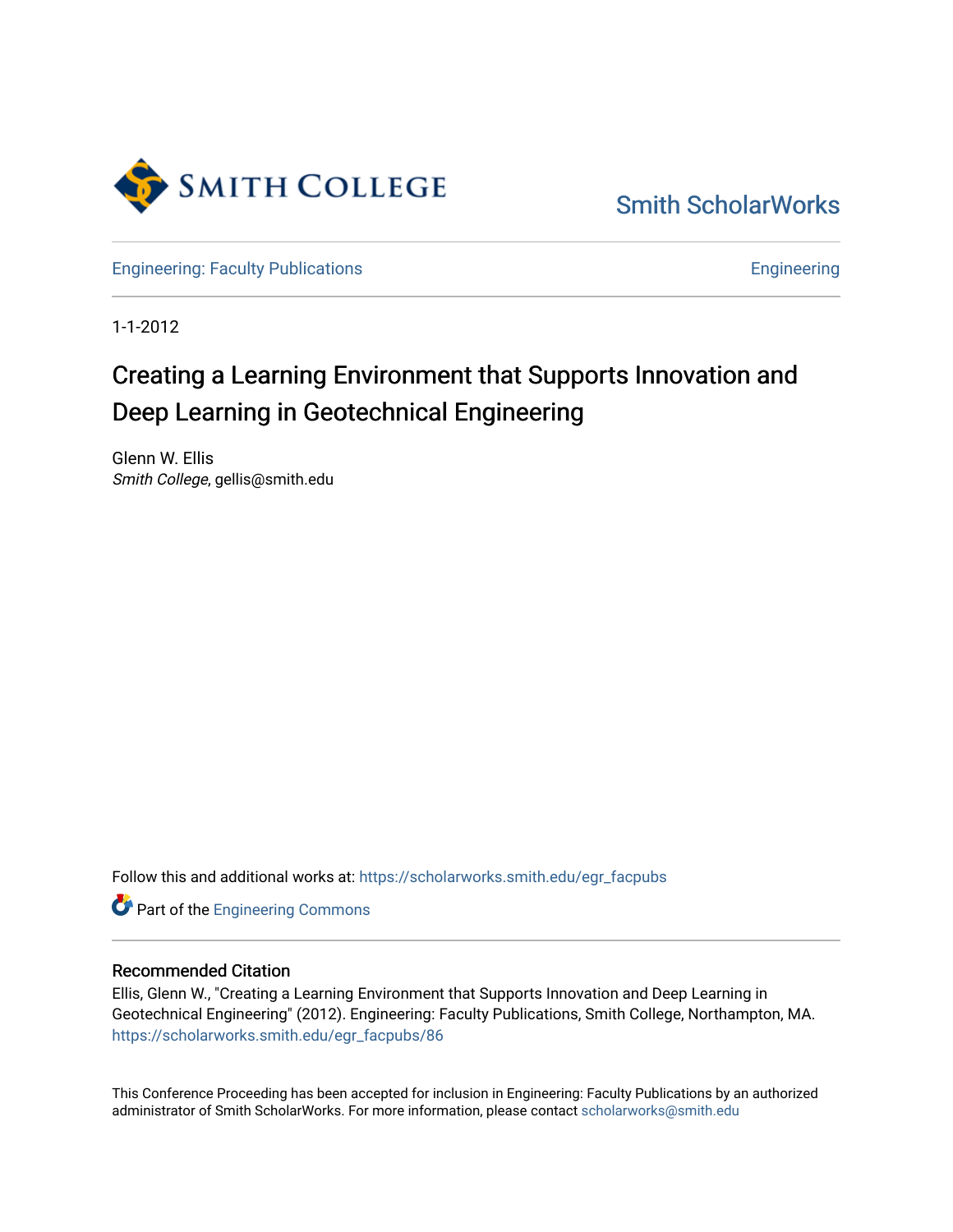

[Smith ScholarWorks](https://scholarworks.smith.edu/) 

[Engineering: Faculty Publications](https://scholarworks.smith.edu/egr_facpubs) **Engineering** 

1-1-2012

# Creating a Learning Environment that Supports Innovation and Deep Learning in Geotechnical Engineering

Glenn W. Ellis Smith College, gellis@smith.edu

Follow this and additional works at: [https://scholarworks.smith.edu/egr\\_facpubs](https://scholarworks.smith.edu/egr_facpubs?utm_source=scholarworks.smith.edu%2Fegr_facpubs%2F86&utm_medium=PDF&utm_campaign=PDFCoverPages) 

Part of the [Engineering Commons](http://network.bepress.com/hgg/discipline/217?utm_source=scholarworks.smith.edu%2Fegr_facpubs%2F86&utm_medium=PDF&utm_campaign=PDFCoverPages)

#### Recommended Citation

Ellis, Glenn W., "Creating a Learning Environment that Supports Innovation and Deep Learning in Geotechnical Engineering" (2012). Engineering: Faculty Publications, Smith College, Northampton, MA. [https://scholarworks.smith.edu/egr\\_facpubs/86](https://scholarworks.smith.edu/egr_facpubs/86?utm_source=scholarworks.smith.edu%2Fegr_facpubs%2F86&utm_medium=PDF&utm_campaign=PDFCoverPages)

This Conference Proceeding has been accepted for inclusion in Engineering: Faculty Publications by an authorized administrator of Smith ScholarWorks. For more information, please contact [scholarworks@smith.edu](mailto:scholarworks@smith.edu)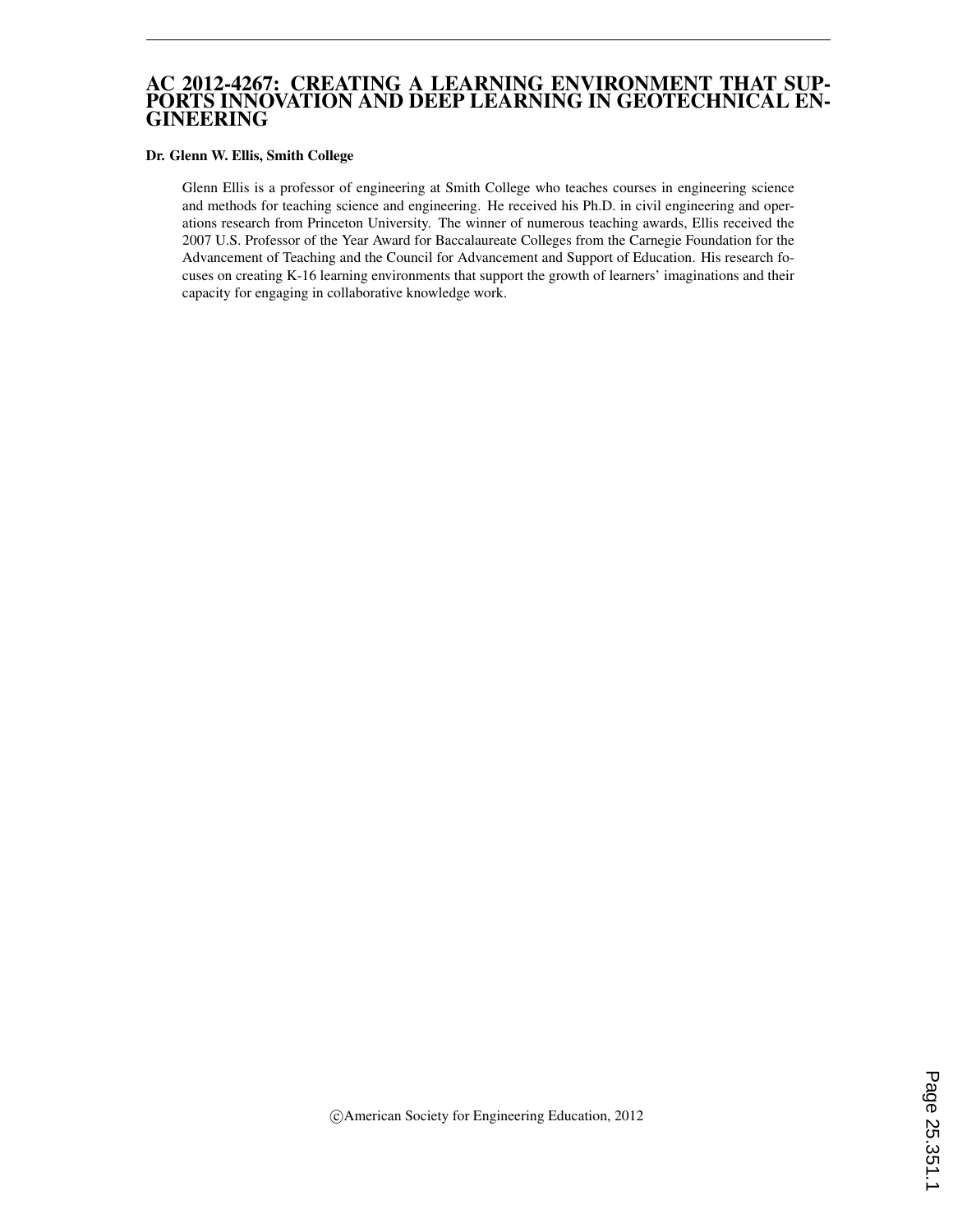#### AC 2012-4267: CREATING A LEARNING ENVIRONMENT THAT SUP-PORTS INNOVATION AND DEEP LEARNING IN GEOTECHNICAL EN-GINEERING

#### Dr. Glenn W. Ellis, Smith College

Glenn Ellis is a professor of engineering at Smith College who teaches courses in engineering science and methods for teaching science and engineering. He received his Ph.D. in civil engineering and operations research from Princeton University. The winner of numerous teaching awards, Ellis received the 2007 U.S. Professor of the Year Award for Baccalaureate Colleges from the Carnegie Foundation for the Advancement of Teaching and the Council for Advancement and Support of Education. His research focuses on creating K-16 learning environments that support the growth of learners' imaginations and their capacity for engaging in collaborative knowledge work.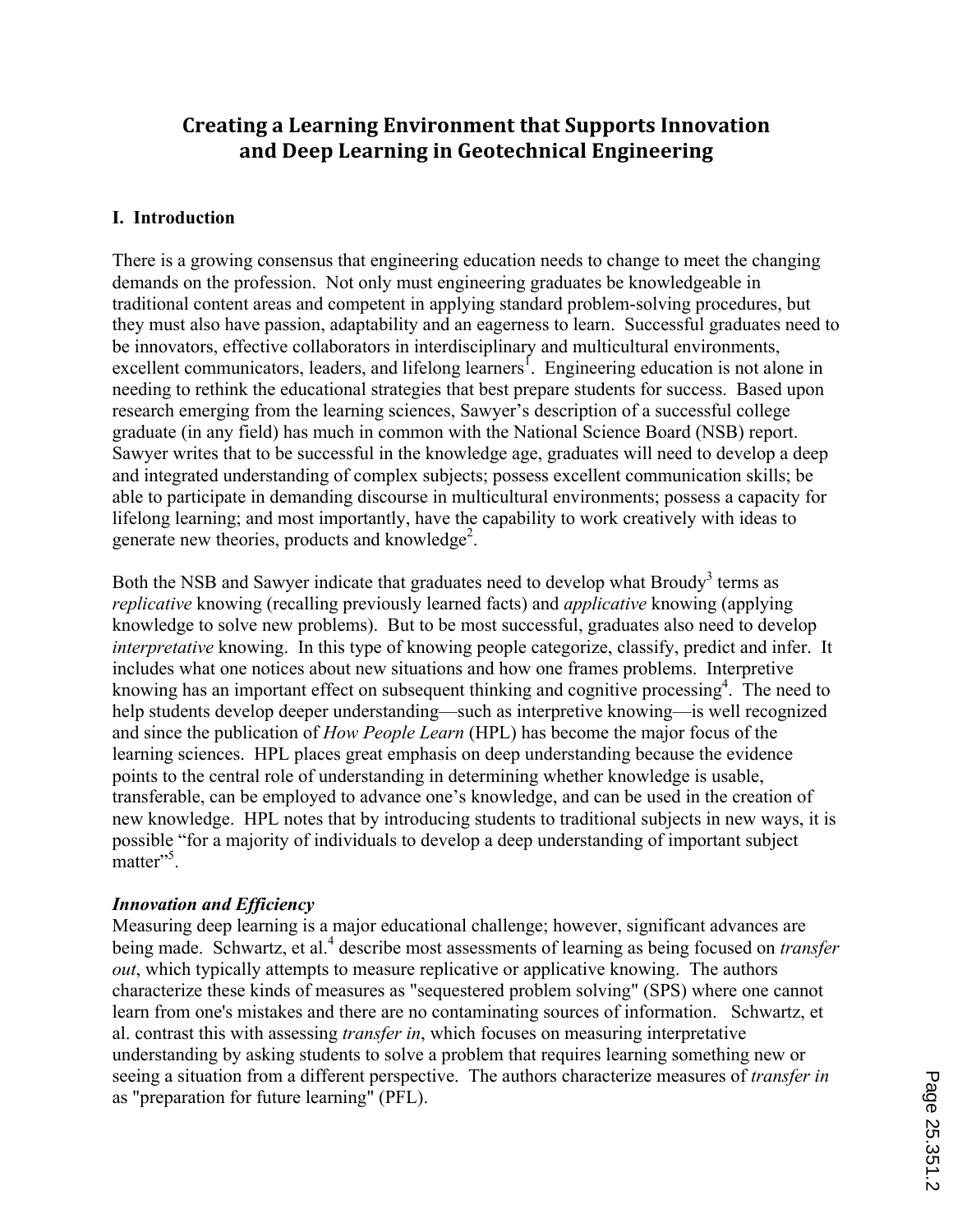# Creating a Learning Environment that Supports Innovation **and)Deep)Learning)in)Geotechnical)Engineering**

# **I. Introduction**

There is a growing consensus that engineering education needs to change to meet the changing demands on the profession. Not only must engineering graduates be knowledgeable in traditional content areas and competent in applying standard problem-solving procedures, but they must also have passion, adaptability and an eagerness to learn. Successful graduates need to be innovators, effective collaborators in interdisciplinary and multicultural environments, excellent communicators, leaders, and lifelong learners<sup>1</sup>. Engineering education is not alone in needing to rethink the educational strategies that best prepare students for success. Based upon research emerging from the learning sciences, Sawyer's description of a successful college graduate (in any field) has much in common with the National Science Board (NSB) report. Sawyer writes that to be successful in the knowledge age, graduates will need to develop a deep and integrated understanding of complex subjects; possess excellent communication skills; be able to participate in demanding discourse in multicultural environments; possess a capacity for lifelong learning; and most importantly, have the capability to work creatively with ideas to generate new theories, products and knowledge<sup>2</sup>.

Both the NSB and Sawyer indicate that graduates need to develop what Broudy<sup>3</sup> terms as *replicative* knowing (recalling previously learned facts) and *applicative* knowing (applying knowledge to solve new problems). But to be most successful, graduates also need to develop *interpretative* knowing. In this type of knowing people categorize, classify, predict and infer. It includes what one notices about new situations and how one frames problems. Interpretive knowing has an important effect on subsequent thinking and cognitive processing<sup>4</sup>. The need to help students develop deeper understanding—such as interpretive knowing—is well recognized and since the publication of *How People Learn* (HPL) has become the major focus of the learning sciences. HPL places great emphasis on deep understanding because the evidence points to the central role of understanding in determining whether knowledge is usable, transferable, can be employed to advance one's knowledge, and can be used in the creation of new knowledge. HPL notes that by introducing students to traditional subjects in new ways, it is possible "for a majority of individuals to develop a deep understanding of important subject natter"<sup>5</sup>.

# *Innovation and Efficiency*

Measuring deep learning is a major educational challenge; however, significant advances are being made. Schwartz, et al.<sup>4</sup> describe most assessments of learning as being focused on *transfer out*, which typically attempts to measure replicative or applicative knowing. The authors characterize these kinds of measures as "sequestered problem solving" (SPS) where one cannot learn from one's mistakes and there are no contaminating sources of information. Schwartz, et al. contrast this with assessing *transfer in*, which focuses on measuring interpretative understanding by asking students to solve a problem that requires learning something new or seeing a situation from a different perspective. The authors characterize measures of *transfer in* as "preparation for future learning" (PFL).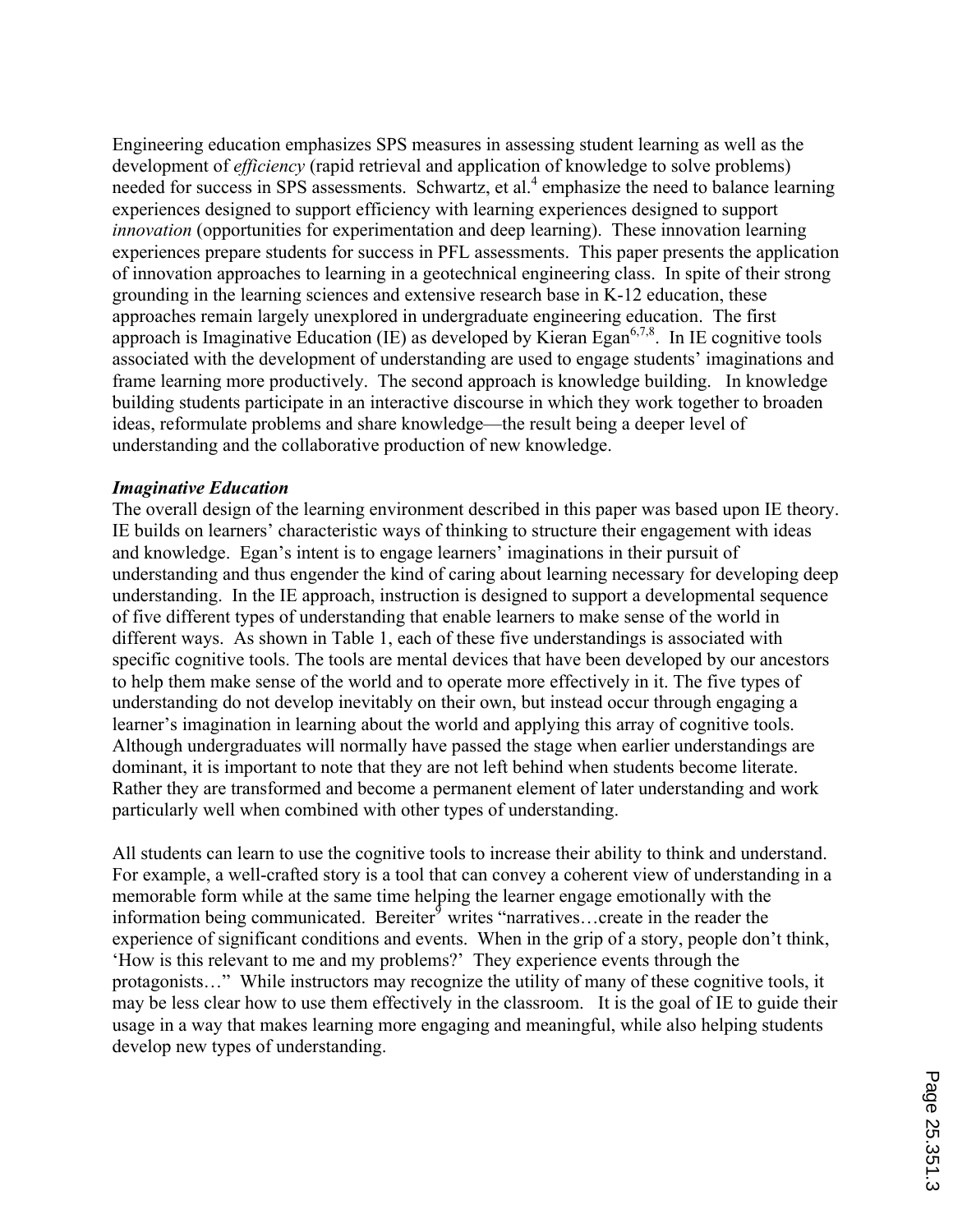Engineering education emphasizes SPS measures in assessing student learning as well as the development of *efficiency* (rapid retrieval and application of knowledge to solve problems) needed for success in SPS assessments. Schwartz, et al.<sup>4</sup> emphasize the need to balance learning experiences designed to support efficiency with learning experiences designed to support *innovation* (opportunities for experimentation and deep learning). These innovation learning experiences prepare students for success in PFL assessments. This paper presents the application of innovation approaches to learning in a geotechnical engineering class. In spite of their strong grounding in the learning sciences and extensive research base in K-12 education, these approaches remain largely unexplored in undergraduate engineering education. The first approach is Imaginative Education (IE) as developed by Kieran Egan<sup>6,7,8</sup>. In IE cognitive tools associated with the development of understanding are used to engage students' imaginations and frame learning more productively. The second approach is knowledge building. In knowledge building students participate in an interactive discourse in which they work together to broaden ideas, reformulate problems and share knowledge—the result being a deeper level of understanding and the collaborative production of new knowledge.

#### *Imaginative Education*

The overall design of the learning environment described in this paper was based upon IE theory. IE builds on learners' characteristic ways of thinking to structure their engagement with ideas and knowledge. Egan's intent is to engage learners' imaginations in their pursuit of understanding and thus engender the kind of caring about learning necessary for developing deep understanding. In the IE approach, instruction is designed to support a developmental sequence of five different types of understanding that enable learners to make sense of the world in different ways. As shown in Table 1, each of these five understandings is associated with specific cognitive tools. The tools are mental devices that have been developed by our ancestors to help them make sense of the world and to operate more effectively in it. The five types of understanding do not develop inevitably on their own, but instead occur through engaging a learner's imagination in learning about the world and applying this array of cognitive tools. Although undergraduates will normally have passed the stage when earlier understandings are dominant, it is important to note that they are not left behind when students become literate. Rather they are transformed and become a permanent element of later understanding and work particularly well when combined with other types of understanding.

All students can learn to use the cognitive tools to increase their ability to think and understand. For example, a well-crafted story is a tool that can convey a coherent view of understanding in a memorable form while at the same time helping the learner engage emotionally with the information being communicated. Bereiter $\delta$  writes "narratives...create in the reader the experience of significant conditions and events. When in the grip of a story, people don't think, 'How is this relevant to me and my problems?' They experience events through the protagonists…" While instructors may recognize the utility of many of these cognitive tools, it may be less clear how to use them effectively in the classroom. It is the goal of IE to guide their usage in a way that makes learning more engaging and meaningful, while also helping students develop new types of understanding.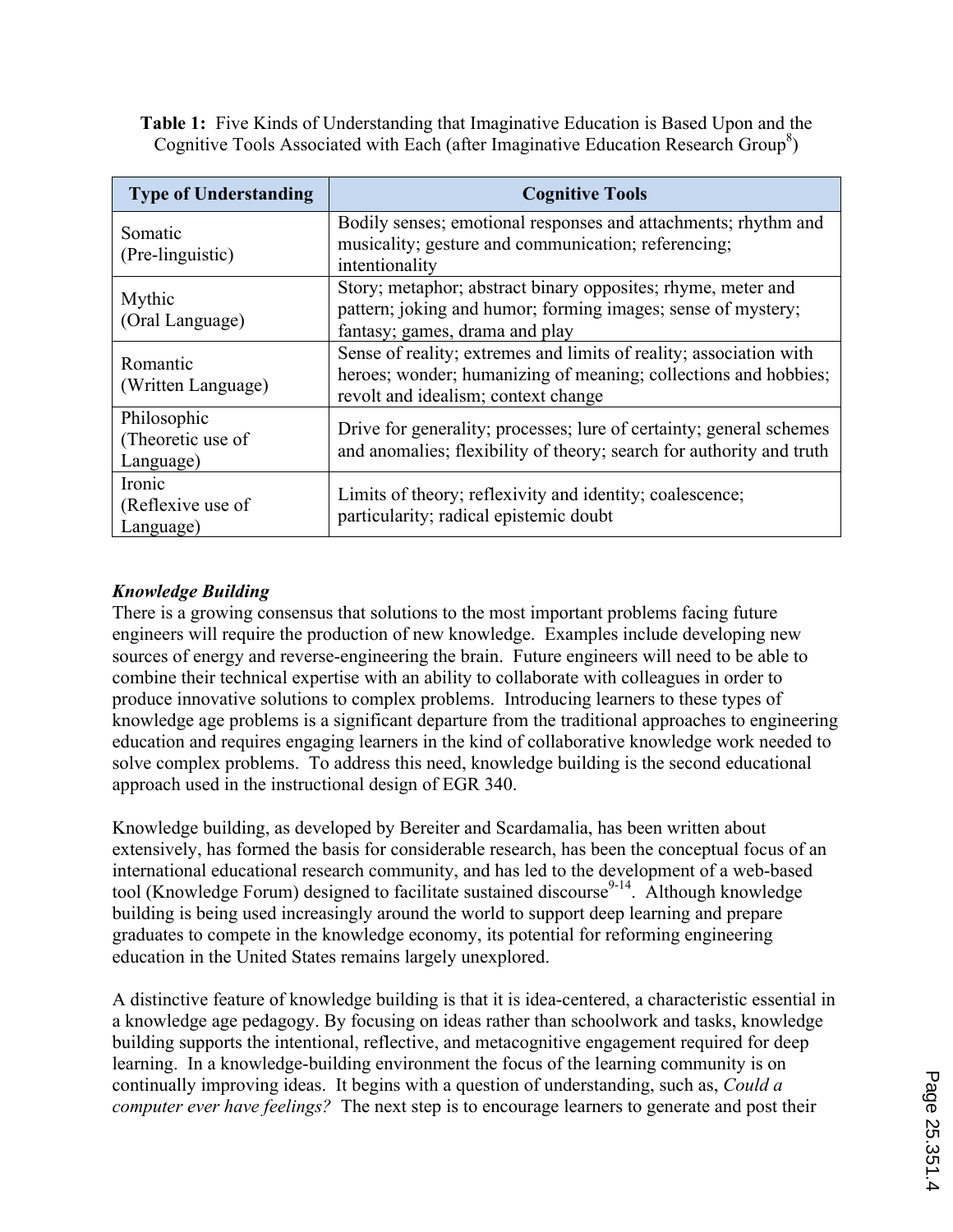**Table 1:** Five Kinds of Understanding that Imaginative Education is Based Upon and the Cognitive Tools Associated with Each (after Imaginative Education Research Group<sup>8</sup>)

| <b>Type of Understanding</b>                  | <b>Cognitive Tools</b>                                                                                                                                                       |  |  |  |  |
|-----------------------------------------------|------------------------------------------------------------------------------------------------------------------------------------------------------------------------------|--|--|--|--|
| Somatic<br>(Pre-linguistic)                   | Bodily senses; emotional responses and attachments; rhythm and<br>musicality; gesture and communication; referencing;<br>intentionality                                      |  |  |  |  |
| Mythic<br>(Oral Language)                     | Story; metaphor; abstract binary opposites; rhyme, meter and<br>pattern; joking and humor; forming images; sense of mystery;<br>fantasy; games, drama and play               |  |  |  |  |
| Romantic<br>(Written Language)                | Sense of reality; extremes and limits of reality; association with<br>heroes; wonder; humanizing of meaning; collections and hobbies;<br>revolt and idealism; context change |  |  |  |  |
| Philosophic<br>(Theoretic use of<br>Language) | Drive for generality; processes; lure of certainty; general schemes<br>and anomalies; flexibility of theory; search for authority and truth                                  |  |  |  |  |
| Ironic<br>(Reflexive use of<br>Language)      | Limits of theory; reflexivity and identity; coalescence;<br>particularity; radical epistemic doubt                                                                           |  |  |  |  |

# *Knowledge Building*

There is a growing consensus that solutions to the most important problems facing future engineers will require the production of new knowledge. Examples include developing new sources of energy and reverse-engineering the brain. Future engineers will need to be able to combine their technical expertise with an ability to collaborate with colleagues in order to produce innovative solutions to complex problems. Introducing learners to these types of knowledge age problems is a significant departure from the traditional approaches to engineering education and requires engaging learners in the kind of collaborative knowledge work needed to solve complex problems. To address this need, knowledge building is the second educational approach used in the instructional design of EGR 340.

Knowledge building, as developed by Bereiter and Scardamalia, has been written about extensively, has formed the basis for considerable research, has been the conceptual focus of an international educational research community, and has led to the development of a web-based tool (Knowledge Forum) designed to facilitate sustained discourse<sup>9-14</sup>. Although knowledge building is being used increasingly around the world to support deep learning and prepare graduates to compete in the knowledge economy, its potential for reforming engineering education in the United States remains largely unexplored.

A distinctive feature of knowledge building is that it is idea-centered, a characteristic essential in a knowledge age pedagogy. By focusing on ideas rather than schoolwork and tasks, knowledge building supports the intentional, reflective, and metacognitive engagement required for deep learning. In a knowledge-building environment the focus of the learning community is on continually improving ideas. It begins with a question of understanding, such as, *Could a computer ever have feelings?* The next step is to encourage learners to generate and post their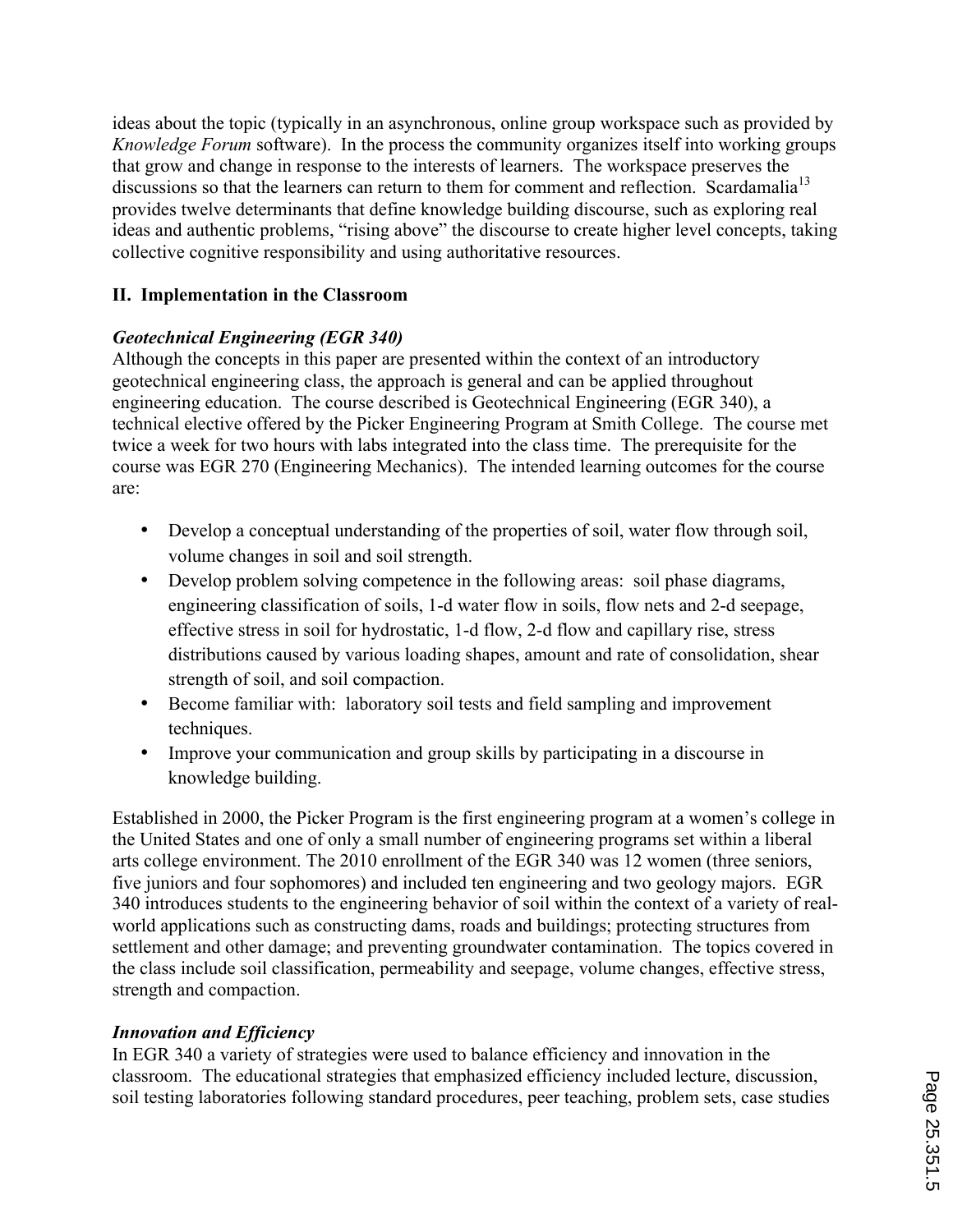ideas about the topic (typically in an asynchronous, online group workspace such as provided by *Knowledge Forum* software). In the process the community organizes itself into working groups that grow and change in response to the interests of learners. The workspace preserves the discussions so that the learners can return to them for comment and reflection. Scardamalia<sup>13</sup> provides twelve determinants that define knowledge building discourse, such as exploring real ideas and authentic problems, "rising above" the discourse to create higher level concepts, taking collective cognitive responsibility and using authoritative resources.

# **II. Implementation in the Classroom**

# *Geotechnical Engineering (EGR 340)*

Although the concepts in this paper are presented within the context of an introductory geotechnical engineering class, the approach is general and can be applied throughout engineering education. The course described is Geotechnical Engineering (EGR 340), a technical elective offered by the Picker Engineering Program at Smith College. The course met twice a week for two hours with labs integrated into the class time. The prerequisite for the course was EGR 270 (Engineering Mechanics). The intended learning outcomes for the course are:

- Develop a conceptual understanding of the properties of soil, water flow through soil, volume changes in soil and soil strength.
- Develop problem solving competence in the following areas: soil phase diagrams, engineering classification of soils, 1-d water flow in soils, flow nets and 2-d seepage, effective stress in soil for hydrostatic, 1-d flow, 2-d flow and capillary rise, stress distributions caused by various loading shapes, amount and rate of consolidation, shear strength of soil, and soil compaction.
- Become familiar with: laboratory soil tests and field sampling and improvement techniques.
- Improve your communication and group skills by participating in a discourse in knowledge building.

Established in 2000, the Picker Program is the first engineering program at a women's college in the United States and one of only a small number of engineering programs set within a liberal arts college environment. The 2010 enrollment of the EGR 340 was 12 women (three seniors, five juniors and four sophomores) and included ten engineering and two geology majors. EGR 340 introduces students to the engineering behavior of soil within the context of a variety of realworld applications such as constructing dams, roads and buildings; protecting structures from settlement and other damage; and preventing groundwater contamination. The topics covered in the class include soil classification, permeability and seepage, volume changes, effective stress, strength and compaction.

# *Innovation and Efficiency*

In EGR 340 a variety of strategies were used to balance efficiency and innovation in the classroom. The educational strategies that emphasized efficiency included lecture, discussion, soil testing laboratories following standard procedures, peer teaching, problem sets, case studies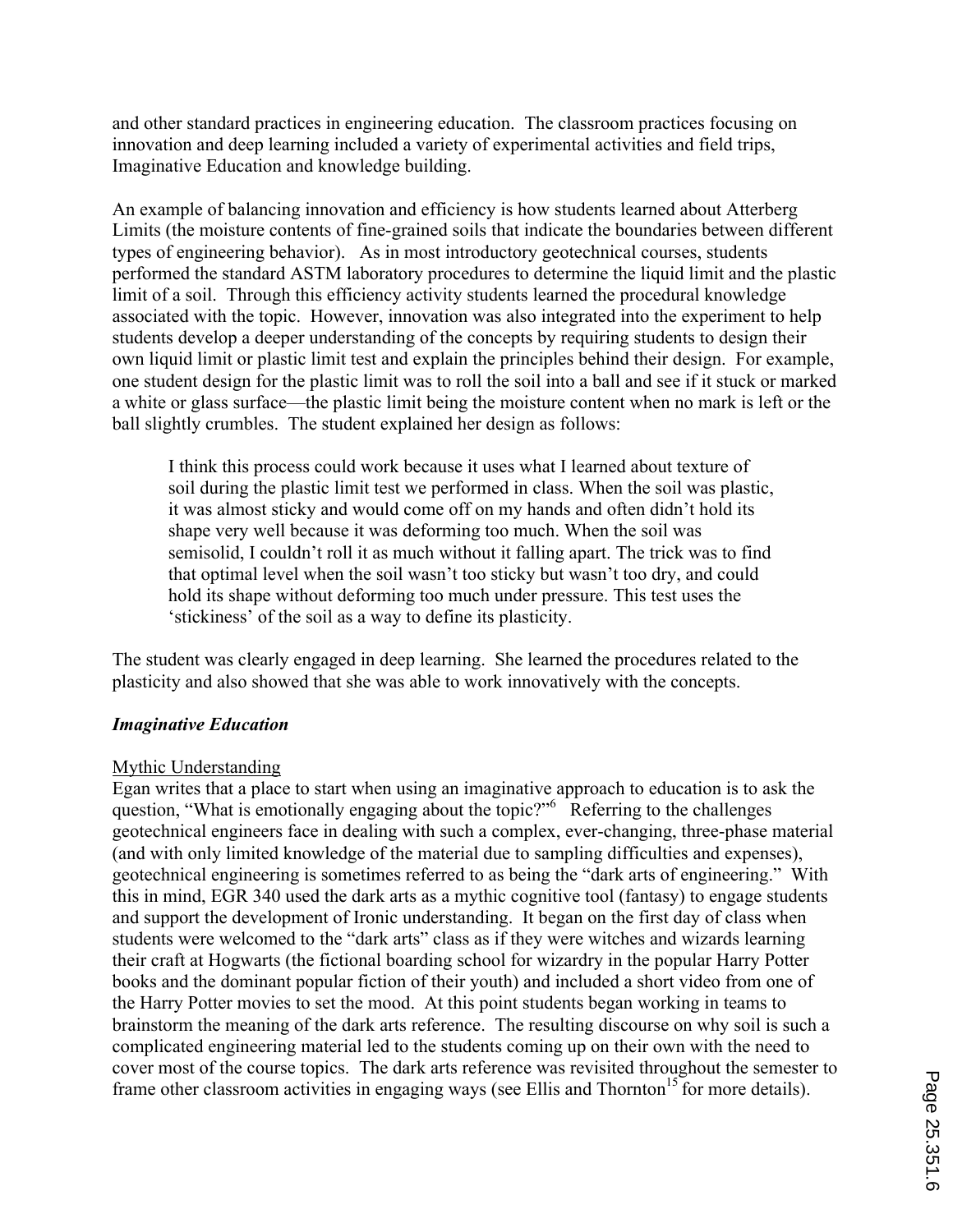and other standard practices in engineering education. The classroom practices focusing on innovation and deep learning included a variety of experimental activities and field trips, Imaginative Education and knowledge building.

An example of balancing innovation and efficiency is how students learned about Atterberg Limits (the moisture contents of fine-grained soils that indicate the boundaries between different types of engineering behavior). As in most introductory geotechnical courses, students performed the standard ASTM laboratory procedures to determine the liquid limit and the plastic limit of a soil. Through this efficiency activity students learned the procedural knowledge associated with the topic. However, innovation was also integrated into the experiment to help students develop a deeper understanding of the concepts by requiring students to design their own liquid limit or plastic limit test and explain the principles behind their design. For example, one student design for the plastic limit was to roll the soil into a ball and see if it stuck or marked a white or glass surface—the plastic limit being the moisture content when no mark is left or the ball slightly crumbles. The student explained her design as follows:

I think this process could work because it uses what I learned about texture of soil during the plastic limit test we performed in class. When the soil was plastic, it was almost sticky and would come off on my hands and often didn't hold its shape very well because it was deforming too much. When the soil was semisolid, I couldn't roll it as much without it falling apart. The trick was to find that optimal level when the soil wasn't too sticky but wasn't too dry, and could hold its shape without deforming too much under pressure. This test uses the 'stickiness' of the soil as a way to define its plasticity.

The student was clearly engaged in deep learning. She learned the procedures related to the plasticity and also showed that she was able to work innovatively with the concepts.

# *Imaginative Education*

#### Mythic Understanding

Egan writes that a place to start when using an imaginative approach to education is to ask the question, "What is emotionally engaging about the topic?"<sup>6</sup> Referring to the challenges geotechnical engineers face in dealing with such a complex, ever-changing, three-phase material (and with only limited knowledge of the material due to sampling difficulties and expenses), geotechnical engineering is sometimes referred to as being the "dark arts of engineering." With this in mind, EGR 340 used the dark arts as a mythic cognitive tool (fantasy) to engage students and support the development of Ironic understanding. It began on the first day of class when students were welcomed to the "dark arts" class as if they were witches and wizards learning their craft at Hogwarts (the fictional boarding school for wizardry in the popular Harry Potter books and the dominant popular fiction of their youth) and included a short video from one of the Harry Potter movies to set the mood. At this point students began working in teams to brainstorm the meaning of the dark arts reference. The resulting discourse on why soil is such a complicated engineering material led to the students coming up on their own with the need to cover most of the course topics. The dark arts reference was revisited throughout the semester to frame other classroom activities in engaging ways (see Ellis and Thornton<sup>15</sup> for more details).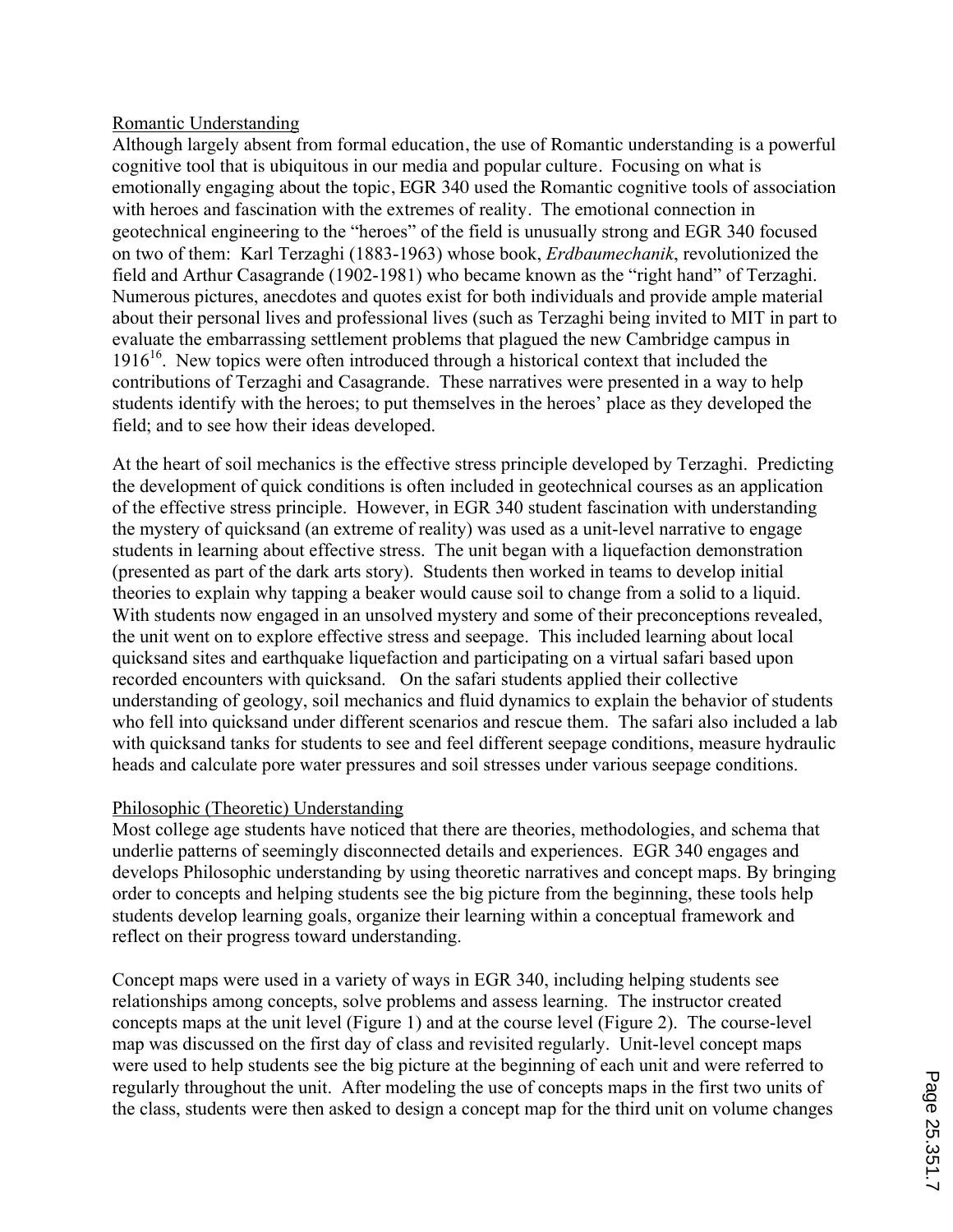## Romantic Understanding

Although largely absent from formal education, the use of Romantic understanding is a powerful cognitive tool that is ubiquitous in our media and popular culture. Focusing on what is emotionally engaging about the topic, EGR 340 used the Romantic cognitive tools of association with heroes and fascination with the extremes of reality. The emotional connection in geotechnical engineering to the "heroes" of the field is unusually strong and EGR 340 focused on two of them: Karl Terzaghi (1883-1963) whose book, *Erdbaumechanik*, revolutionized the field and Arthur Casagrande (1902-1981) who became known as the "right hand" of Terzaghi. Numerous pictures, anecdotes and quotes exist for both individuals and provide ample material about their personal lives and professional lives (such as Terzaghi being invited to MIT in part to evaluate the embarrassing settlement problems that plagued the new Cambridge campus in  $1916<sup>16</sup>$ . New topics were often introduced through a historical context that included the contributions of Terzaghi and Casagrande. These narratives were presented in a way to help students identify with the heroes; to put themselves in the heroes' place as they developed the field; and to see how their ideas developed.

At the heart of soil mechanics is the effective stress principle developed by Terzaghi. Predicting the development of quick conditions is often included in geotechnical courses as an application of the effective stress principle. However, in EGR 340 student fascination with understanding the mystery of quicksand (an extreme of reality) was used as a unit-level narrative to engage students in learning about effective stress. The unit began with a liquefaction demonstration (presented as part of the dark arts story). Students then worked in teams to develop initial theories to explain why tapping a beaker would cause soil to change from a solid to a liquid. With students now engaged in an unsolved mystery and some of their preconceptions revealed, the unit went on to explore effective stress and seepage. This included learning about local quicksand sites and earthquake liquefaction and participating on a virtual safari based upon recorded encounters with quicksand. On the safari students applied their collective understanding of geology, soil mechanics and fluid dynamics to explain the behavior of students who fell into quicksand under different scenarios and rescue them. The safari also included a lab with quicksand tanks for students to see and feel different seepage conditions, measure hydraulic heads and calculate pore water pressures and soil stresses under various seepage conditions.

# Philosophic (Theoretic) Understanding

Most college age students have noticed that there are theories, methodologies, and schema that underlie patterns of seemingly disconnected details and experiences. EGR 340 engages and develops Philosophic understanding by using theoretic narratives and concept maps. By bringing order to concepts and helping students see the big picture from the beginning, these tools help students develop learning goals, organize their learning within a conceptual framework and reflect on their progress toward understanding.

Concept maps were used in a variety of ways in EGR 340, including helping students see relationships among concepts, solve problems and assess learning. The instructor created concepts maps at the unit level (Figure 1) and at the course level (Figure 2). The course-level map was discussed on the first day of class and revisited regularly. Unit-level concept maps were used to help students see the big picture at the beginning of each unit and were referred to regularly throughout the unit. After modeling the use of concepts maps in the first two units of the class, students were then asked to design a concept map for the third unit on volume changes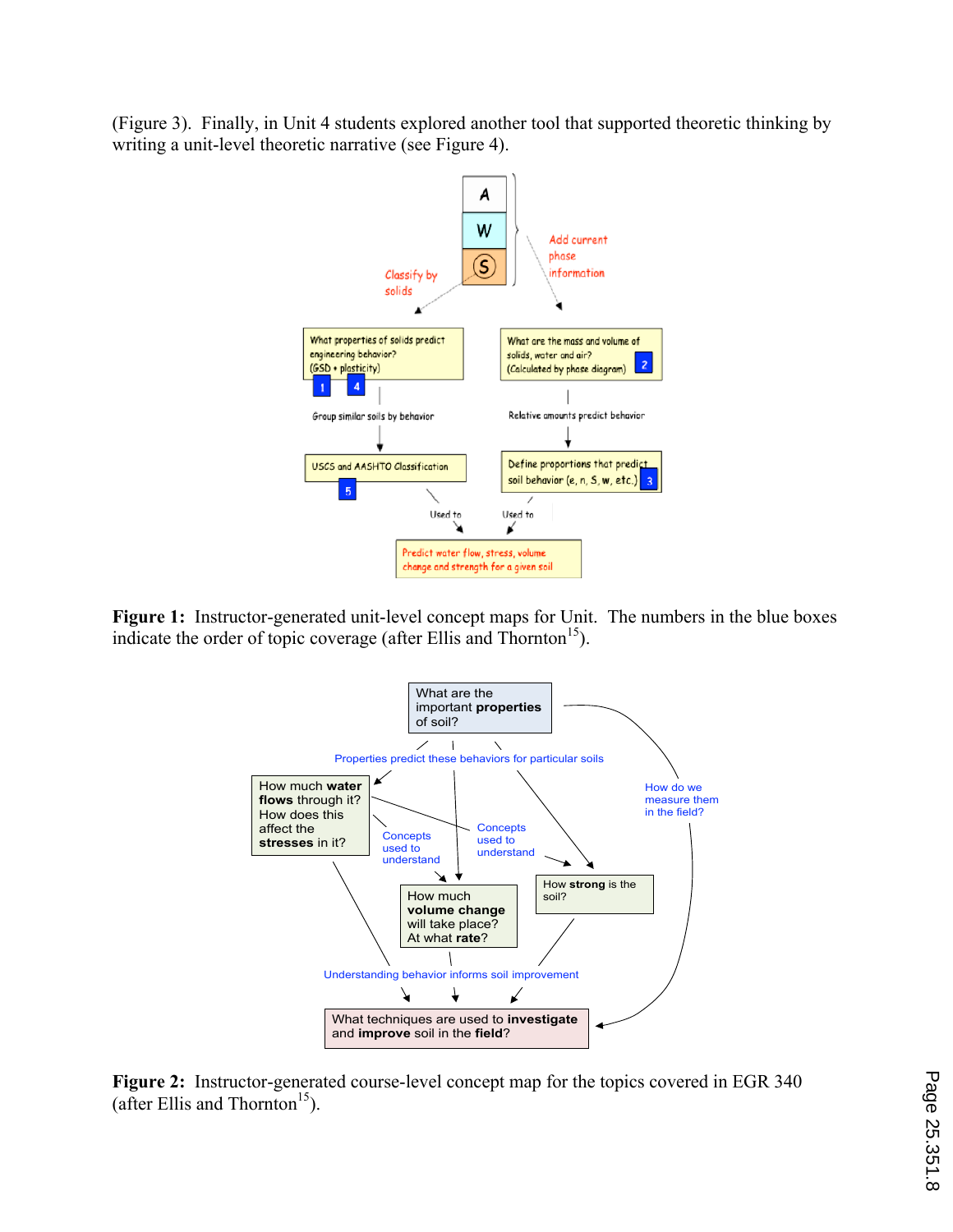(Figure 3). Finally, in Unit 4 students explored another tool that supported theoretic thinking by writing a unit-level theoretic narrative (see Figure 4).



**Figure 1:** Instructor-generated unit-level concept maps for Unit. The numbers in the blue boxes indicate the order of topic coverage (after Ellis and Thornton<sup>15</sup>).



**Figure 2:** Instructor-generated course-level concept map for the topics covered in EGR 340 (after Ellis and Thornton<sup>15</sup>).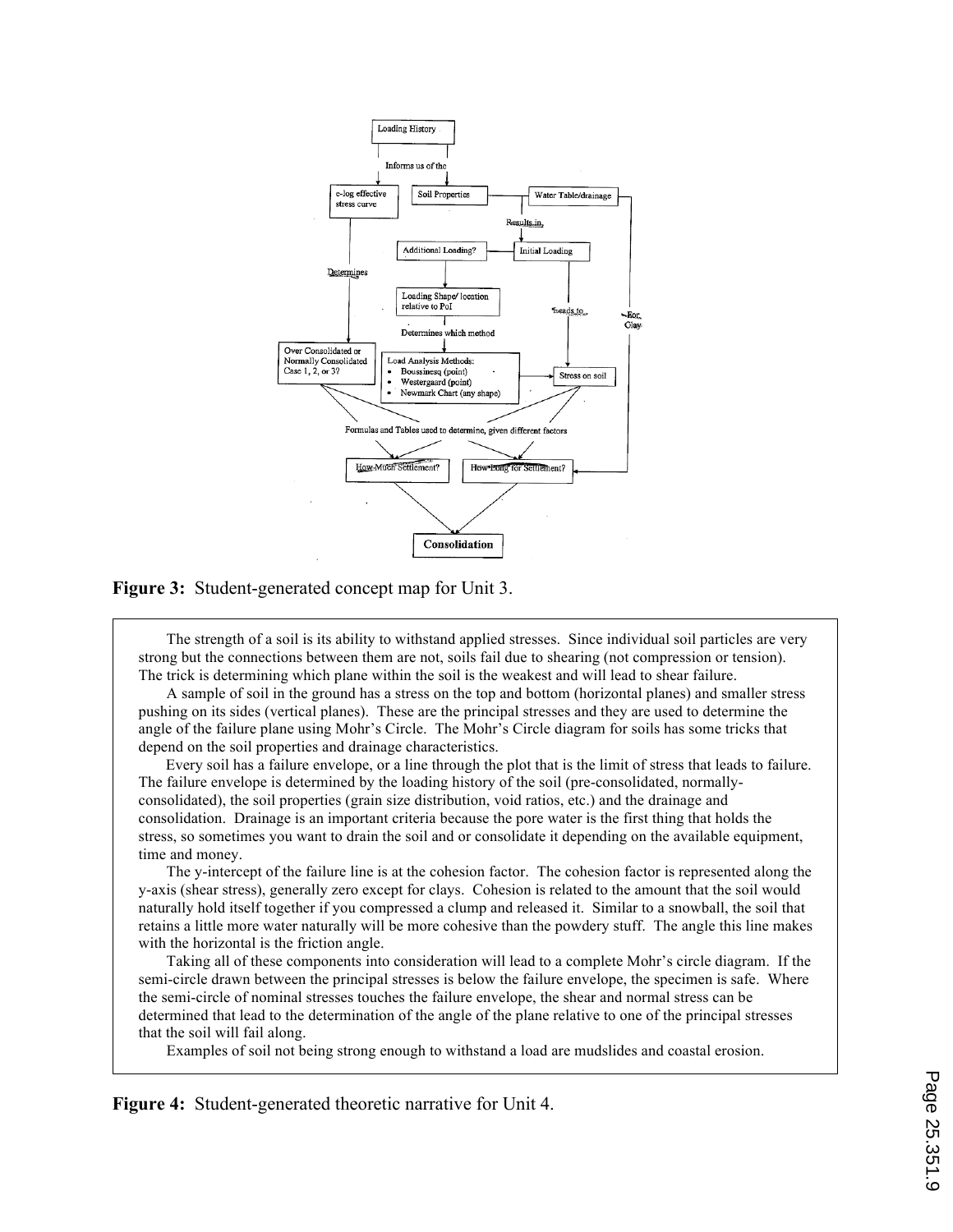

#### **Figure 3:** Student-generated concept map for Unit 3.

The strength of a soil is its ability to withstand applied stresses. Since individual soil particles are very strong but the connections between them are not, soils fail due to shearing (not compression or tension). The trick is determining which plane within the soil is the weakest and will lead to shear failure.

A sample of soil in the ground has a stress on the top and bottom (horizontal planes) and smaller stress pushing on its sides (vertical planes). These are the principal stresses and they are used to determine the angle of the failure plane using Mohr's Circle. The Mohr's Circle diagram for soils has some tricks that depend on the soil properties and drainage characteristics.

 Every soil has a failure envelope, or a line through the plot that is the limit of stress that leads to failure. The failure envelope is determined by the loading history of the soil (pre-consolidated, normallyconsolidated), the soil properties (grain size distribution, void ratios, etc.) and the drainage and consolidation. Drainage is an important criteria because the pore water is the first thing that holds the stress, so sometimes you want to drain the soil and or consolidate it depending on the available equipment, time and money.

The y-intercept of the failure line is at the cohesion factor. The cohesion factor is represented along the y-axis (shear stress), generally zero except for clays. Cohesion is related to the amount that the soil would naturally hold itself together if you compressed a clump and released it. Similar to a snowball, the soil that retains a little more water naturally will be more cohesive than the powdery stuff. The angle this line makes with the horizontal is the friction angle.

Taking all of these components into consideration will lead to a complete Mohr's circle diagram. If the semi-circle drawn between the principal stresses is below the failure envelope, the specimen is safe. Where the semi-circle of nominal stresses touches the failure envelope, the shear and normal stress can be determined that lead to the determination of the angle of the plane relative to one of the principal stresses that the soil will fail along.

Examples of soil not being strong enough to withstand a load are mudslides and coastal erosion.

**Figure 4:** Student-generated theoretic narrative for Unit 4.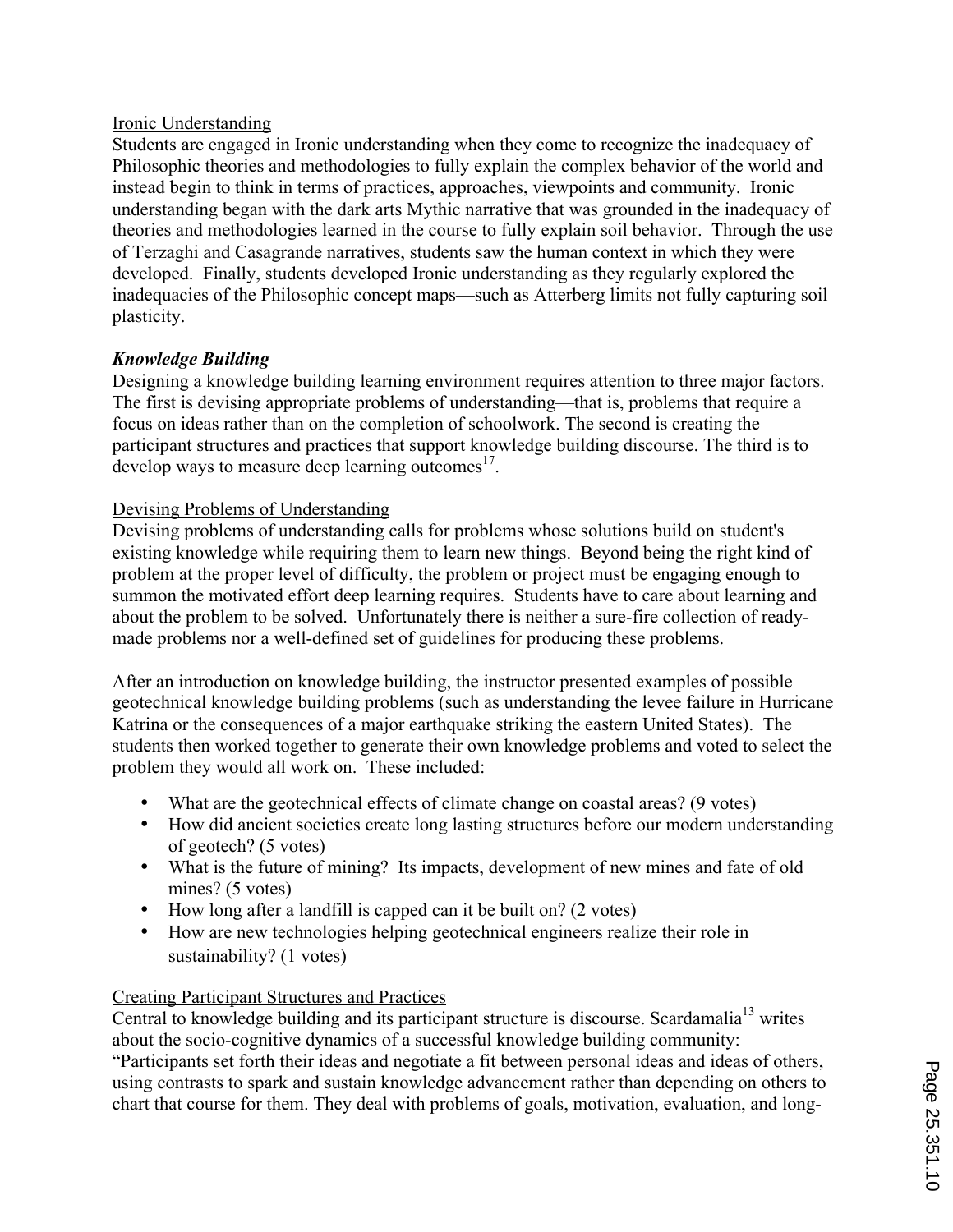# Ironic Understanding

Students are engaged in Ironic understanding when they come to recognize the inadequacy of Philosophic theories and methodologies to fully explain the complex behavior of the world and instead begin to think in terms of practices, approaches, viewpoints and community. Ironic understanding began with the dark arts Mythic narrative that was grounded in the inadequacy of theories and methodologies learned in the course to fully explain soil behavior. Through the use of Terzaghi and Casagrande narratives, students saw the human context in which they were developed. Finally, students developed Ironic understanding as they regularly explored the inadequacies of the Philosophic concept maps—such as Atterberg limits not fully capturing soil plasticity.

## *Knowledge Building*

Designing a knowledge building learning environment requires attention to three major factors. The first is devising appropriate problems of understanding—that is, problems that require a focus on ideas rather than on the completion of schoolwork. The second is creating the participant structures and practices that support knowledge building discourse. The third is to develop ways to measure deep learning outcomes $^{17}$ .

#### Devising Problems of Understanding

Devising problems of understanding calls for problems whose solutions build on student's existing knowledge while requiring them to learn new things. Beyond being the right kind of problem at the proper level of difficulty, the problem or project must be engaging enough to summon the motivated effort deep learning requires. Students have to care about learning and about the problem to be solved. Unfortunately there is neither a sure-fire collection of readymade problems nor a well-defined set of guidelines for producing these problems.

After an introduction on knowledge building, the instructor presented examples of possible geotechnical knowledge building problems (such as understanding the levee failure in Hurricane Katrina or the consequences of a major earthquake striking the eastern United States). The students then worked together to generate their own knowledge problems and voted to select the problem they would all work on. These included:

- What are the geotechnical effects of climate change on coastal areas? (9 votes)
- How did ancient societies create long lasting structures before our modern understanding of geotech? (5 votes)
- What is the future of mining? Its impacts, development of new mines and fate of old mines? (5 votes)
- How long after a landfill is capped can it be built on? (2 votes)
- How are new technologies helping geotechnical engineers realize their role in sustainability? (1 votes)

#### Creating Participant Structures and Practices

Central to knowledge building and its participant structure is discourse. Scardamalia<sup>13</sup> writes about the socio-cognitive dynamics of a successful knowledge building community:

"Participants set forth their ideas and negotiate a fit between personal ideas and ideas of others, using contrasts to spark and sustain knowledge advancement rather than depending on others to chart that course for them. They deal with problems of goals, motivation, evaluation, and long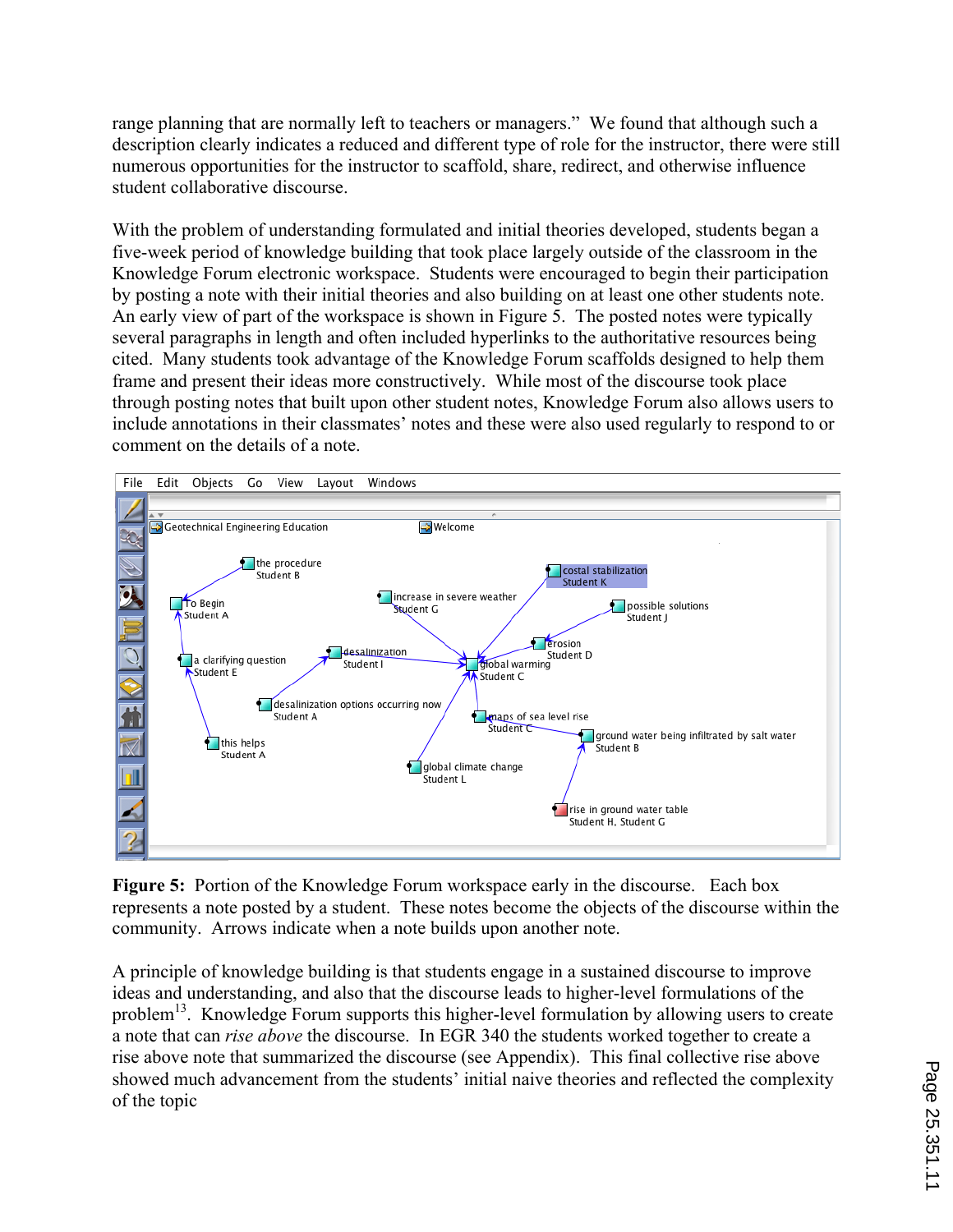range planning that are normally left to teachers or managers." We found that although such a description clearly indicates a reduced and different type of role for the instructor, there were still numerous opportunities for the instructor to scaffold, share, redirect, and otherwise influence student collaborative discourse.

With the problem of understanding formulated and initial theories developed, students began a five-week period of knowledge building that took place largely outside of the classroom in the Knowledge Forum electronic workspace. Students were encouraged to begin their participation by posting a note with their initial theories and also building on at least one other students note. An early view of part of the workspace is shown in Figure 5. The posted notes were typically several paragraphs in length and often included hyperlinks to the authoritative resources being cited. Many students took advantage of the Knowledge Forum scaffolds designed to help them frame and present their ideas more constructively. While most of the discourse took place through posting notes that built upon other student notes, Knowledge Forum also allows users to include annotations in their classmates' notes and these were also used regularly to respond to or comment on the details of a note.



**Figure 5:** Portion of the Knowledge Forum workspace early in the discourse. Each box represents a note posted by a student. These notes become the objects of the discourse within the community. Arrows indicate when a note builds upon another note.

A principle of knowledge building is that students engage in a sustained discourse to improve ideas and understanding, and also that the discourse leads to higher-level formulations of the problem<sup>13</sup>. Knowledge Forum supports this higher-level formulation by allowing users to create a note that can *rise above* the discourse. In EGR 340 the students worked together to create a rise above note that summarized the discourse (see Appendix). This final collective rise above showed much advancement from the students' initial naive theories and reflected the complexity of the topic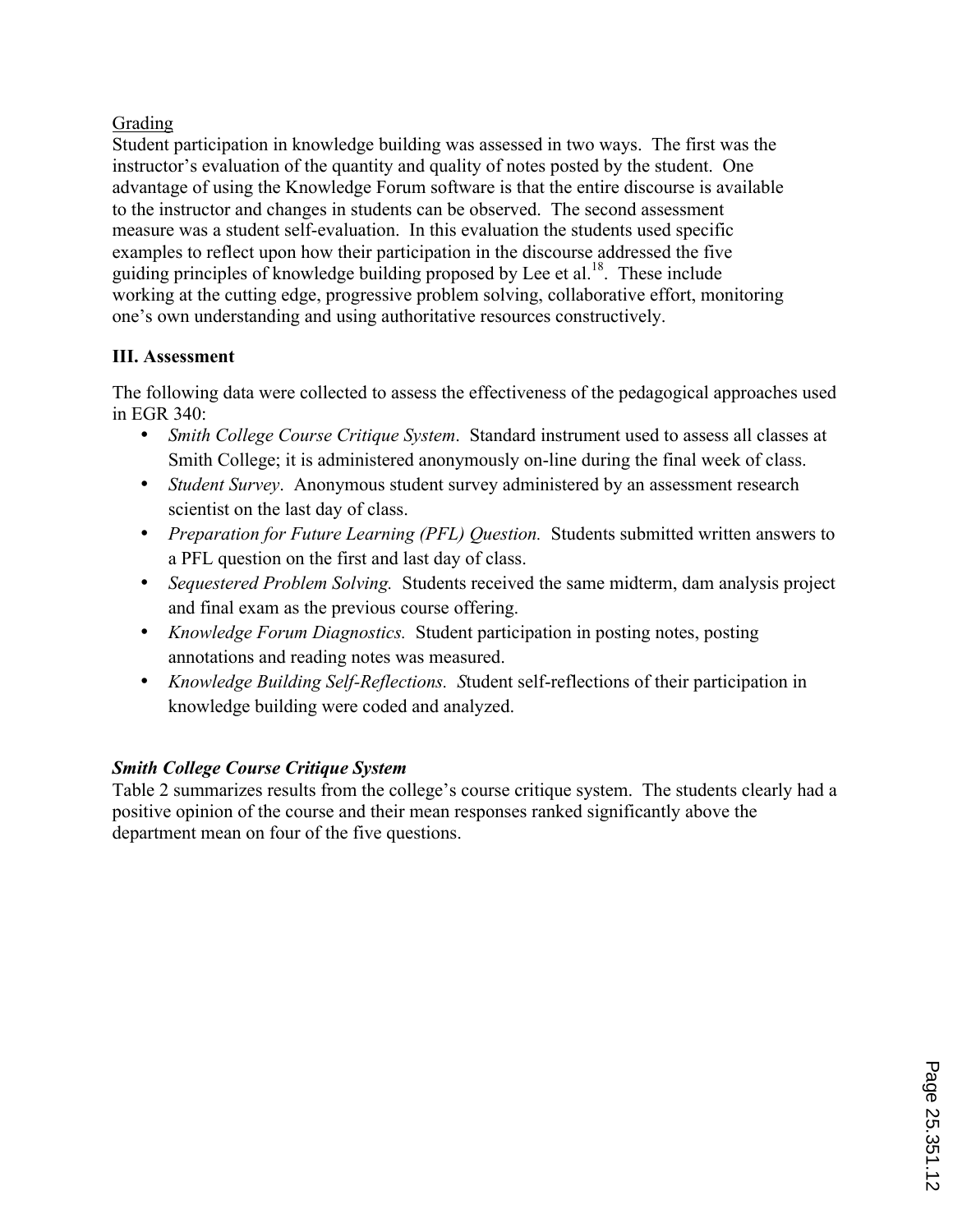# Grading

Student participation in knowledge building was assessed in two ways. The first was the instructor's evaluation of the quantity and quality of notes posted by the student. One advantage of using the Knowledge Forum software is that the entire discourse is available to the instructor and changes in students can be observed. The second assessment measure was a student self-evaluation. In this evaluation the students used specific examples to reflect upon how their participation in the discourse addressed the five guiding principles of knowledge building proposed by Lee et al.<sup>18</sup>. These include working at the cutting edge, progressive problem solving, collaborative effort, monitoring one's own understanding and using authoritative resources constructively.

# **III. Assessment**

The following data were collected to assess the effectiveness of the pedagogical approaches used in EGR 340:

- *Smith College Course Critique System*. Standard instrument used to assess all classes at Smith College; it is administered anonymously on-line during the final week of class.
- *Student Survey*. Anonymous student survey administered by an assessment research scientist on the last day of class.
- *Preparation for Future Learning (PFL) Question.* Students submitted written answers to a PFL question on the first and last day of class.
- *Sequestered Problem Solving.* Students received the same midterm, dam analysis project and final exam as the previous course offering.
- *Knowledge Forum Diagnostics.* Student participation in posting notes, posting annotations and reading notes was measured.
- *Knowledge Building Self-Reflections. S*tudent self-reflections of their participation in knowledge building were coded and analyzed.

# *Smith College Course Critique System*

Table 2 summarizes results from the college's course critique system. The students clearly had a positive opinion of the course and their mean responses ranked significantly above the department mean on four of the five questions.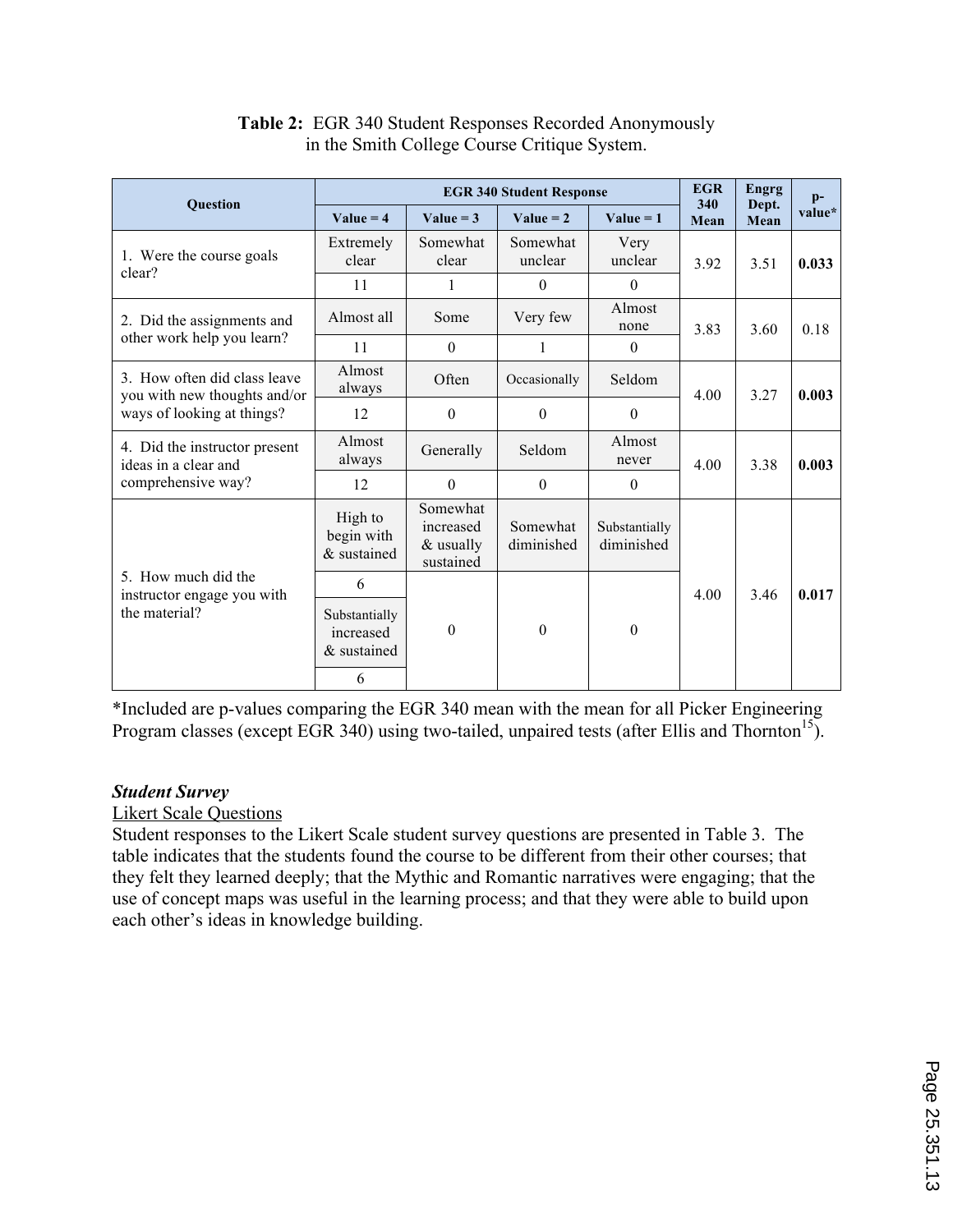| Question                                                           | <b>EGR 340 Student Response</b>           |                                                 |                        |                             |             | <b>Engrg</b>  | $\mathbf{p}$ - |
|--------------------------------------------------------------------|-------------------------------------------|-------------------------------------------------|------------------------|-----------------------------|-------------|---------------|----------------|
|                                                                    | Value = $4$                               | Value = $3$                                     | Value = $2$            | $Value = 1$                 | 340<br>Mean | Dept.<br>Mean | value*         |
| 1. Were the course goals<br>clear?                                 | Extremely<br>clear                        | Somewhat<br>clear                               | Somewhat<br>unclear    | Very<br>unclear             | 3.92        | 3.51          | 0.033          |
|                                                                    | 11                                        | 1                                               | $\boldsymbol{0}$       | $\mathbf{0}$                |             |               |                |
| 2. Did the assignments and                                         | Almost all                                | Some                                            | Very few               | Almost<br>none              | 3.83        | 3.60          | 0.18           |
| other work help you learn?                                         | 11                                        | $\theta$                                        | 1                      | $\theta$                    |             |               |                |
| 3. How often did class leave<br>you with new thoughts and/or       | Almost<br>always                          | Often                                           | Occasionally           | Seldom                      | 4.00        | 3.27          | 0.003          |
| ways of looking at things?                                         | 12                                        | $\theta$                                        | $\theta$               | $\theta$                    |             |               |                |
| 4. Did the instructor present<br>ideas in a clear and              | Almost<br>always                          | Generally                                       | Seldom                 | Almost<br>never             | 4.00        | 3.38          | 0.003          |
| comprehensive way?                                                 | 12                                        | $\Omega$                                        | $\Omega$               | $\theta$                    |             |               |                |
|                                                                    | High to<br>begin with<br>& sustained      | Somewhat<br>increased<br>& usually<br>sustained | Somewhat<br>diminished | Substantially<br>diminished |             |               |                |
| 5. How much did the<br>instructor engage you with<br>the material? | 6                                         |                                                 |                        |                             | 4.00        | 3.46          | 0.017          |
|                                                                    | Substantially<br>increased<br>& sustained | $\theta$                                        | $\theta$               | $\boldsymbol{0}$            |             |               |                |
|                                                                    | 6                                         |                                                 |                        |                             |             |               |                |

# **Table 2:** EGR 340 Student Responses Recorded Anonymously in the Smith College Course Critique System.

\*Included are p-values comparing the EGR 340 mean with the mean for all Picker Engineering Program classes (except EGR 340) using two-tailed, unpaired tests (after Ellis and Thornton<sup>15</sup>).

# *Student Survey*

# Likert Scale Questions

Student responses to the Likert Scale student survey questions are presented in Table 3. The table indicates that the students found the course to be different from their other courses; that they felt they learned deeply; that the Mythic and Romantic narratives were engaging; that the use of concept maps was useful in the learning process; and that they were able to build upon each other's ideas in knowledge building.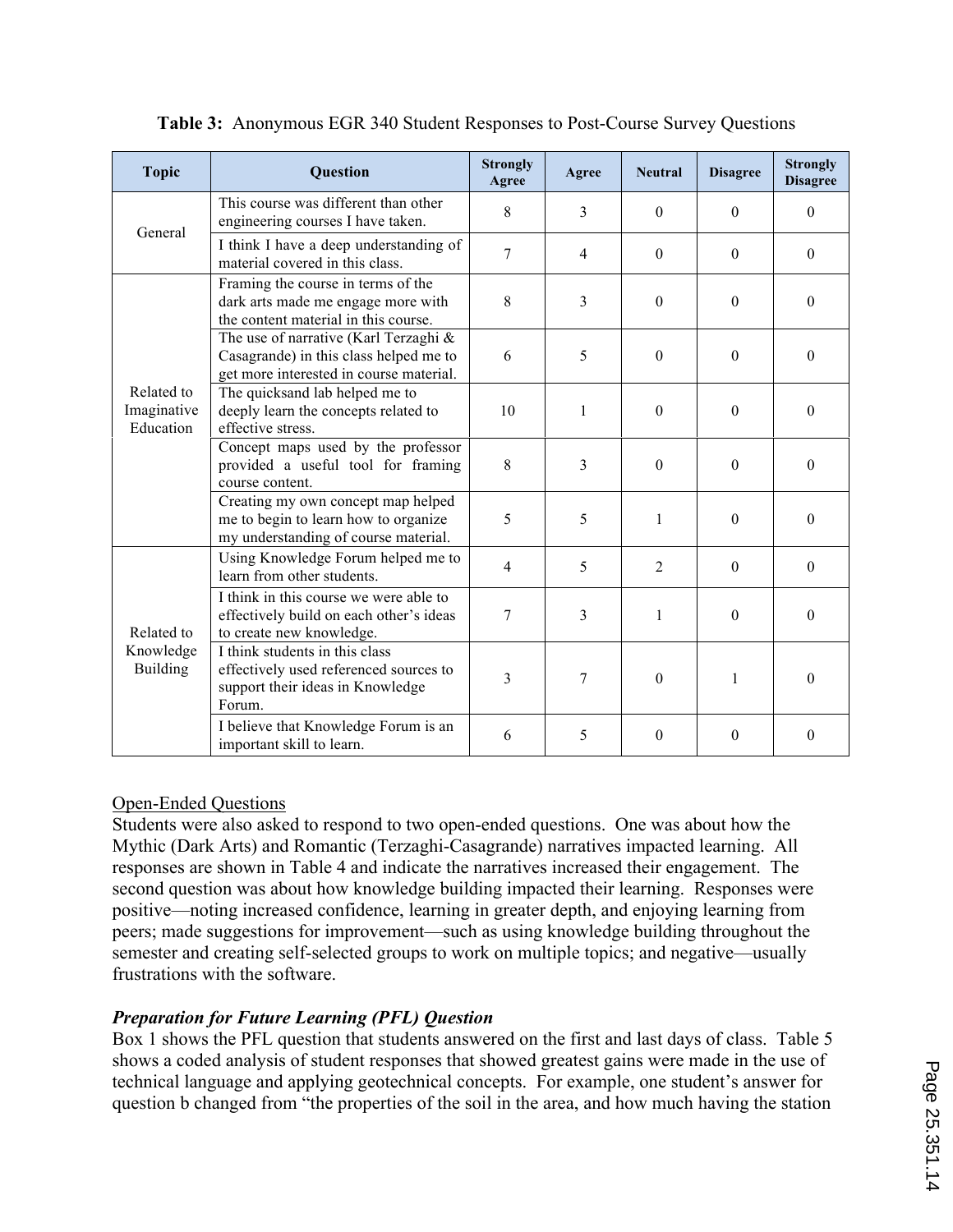| <b>Topic</b>                               | <b>Question</b>                                                                                                            | <b>Strongly</b><br>Agree | Agree | <b>Neutral</b> | <b>Disagree</b> | <b>Strongly</b><br><b>Disagree</b> |
|--------------------------------------------|----------------------------------------------------------------------------------------------------------------------------|--------------------------|-------|----------------|-----------------|------------------------------------|
| General                                    | This course was different than other<br>engineering courses I have taken.                                                  | 8                        | 3     | $\theta$       | $\theta$        | $\mathbf{0}$                       |
|                                            | I think I have a deep understanding of<br>material covered in this class.                                                  | 7                        | 4     | $\Omega$       | $\Omega$        | $\Omega$                           |
|                                            | Framing the course in terms of the<br>dark arts made me engage more with<br>the content material in this course.           | 8                        | 3     | $\theta$       | $\theta$        | $\theta$                           |
| Related to<br>Imaginative<br>Education     | The use of narrative (Karl Terzaghi &<br>Casagrande) in this class helped me to<br>get more interested in course material. | 6                        | 5     | $\theta$       | $\theta$        | $\theta$                           |
|                                            | The quicksand lab helped me to<br>deeply learn the concepts related to<br>effective stress.                                | 10                       | 1     | $\theta$       | $\theta$        | $\theta$                           |
|                                            | Concept maps used by the professor<br>provided a useful tool for framing<br>course content.                                | 8                        | 3     | $\Omega$       | $\theta$        | $\Omega$                           |
|                                            | Creating my own concept map helped<br>me to begin to learn how to organize<br>my understanding of course material.         | 5                        | 5     | 1              | $\theta$        | $\theta$                           |
| Related to<br>Knowledge<br><b>Building</b> | Using Knowledge Forum helped me to<br>learn from other students.                                                           | $\overline{4}$           | 5     | 2              | $\mathbf{0}$    | $\Omega$                           |
|                                            | I think in this course we were able to<br>effectively build on each other's ideas<br>to create new knowledge.              | 7                        | 3     | 1              | $\Omega$        | $\Omega$                           |
|                                            | I think students in this class<br>effectively used referenced sources to<br>support their ideas in Knowledge<br>Forum.     | 3                        | 7     | $\mathbf{0}$   | 1               | $\theta$                           |
|                                            | I believe that Knowledge Forum is an<br>important skill to learn.                                                          | 6                        | 5     | $\theta$       | $\theta$        | $\Omega$                           |

# **Table 3:** Anonymous EGR 340 Student Responses to Post-Course Survey Questions

# Open-Ended Questions

Students were also asked to respond to two open-ended questions. One was about how the Mythic (Dark Arts) and Romantic (Terzaghi-Casagrande) narratives impacted learning. All responses are shown in Table 4 and indicate the narratives increased their engagement. The second question was about how knowledge building impacted their learning. Responses were positive—noting increased confidence, learning in greater depth, and enjoying learning from peers; made suggestions for improvement—such as using knowledge building throughout the semester and creating self-selected groups to work on multiple topics; and negative—usually frustrations with the software.

# *Preparation for Future Learning (PFL) Question*

Box 1 shows the PFL question that students answered on the first and last days of class. Table 5 shows a coded analysis of student responses that showed greatest gains were made in the use of technical language and applying geotechnical concepts. For example, one student's answer for question b changed from "the properties of the soil in the area, and how much having the station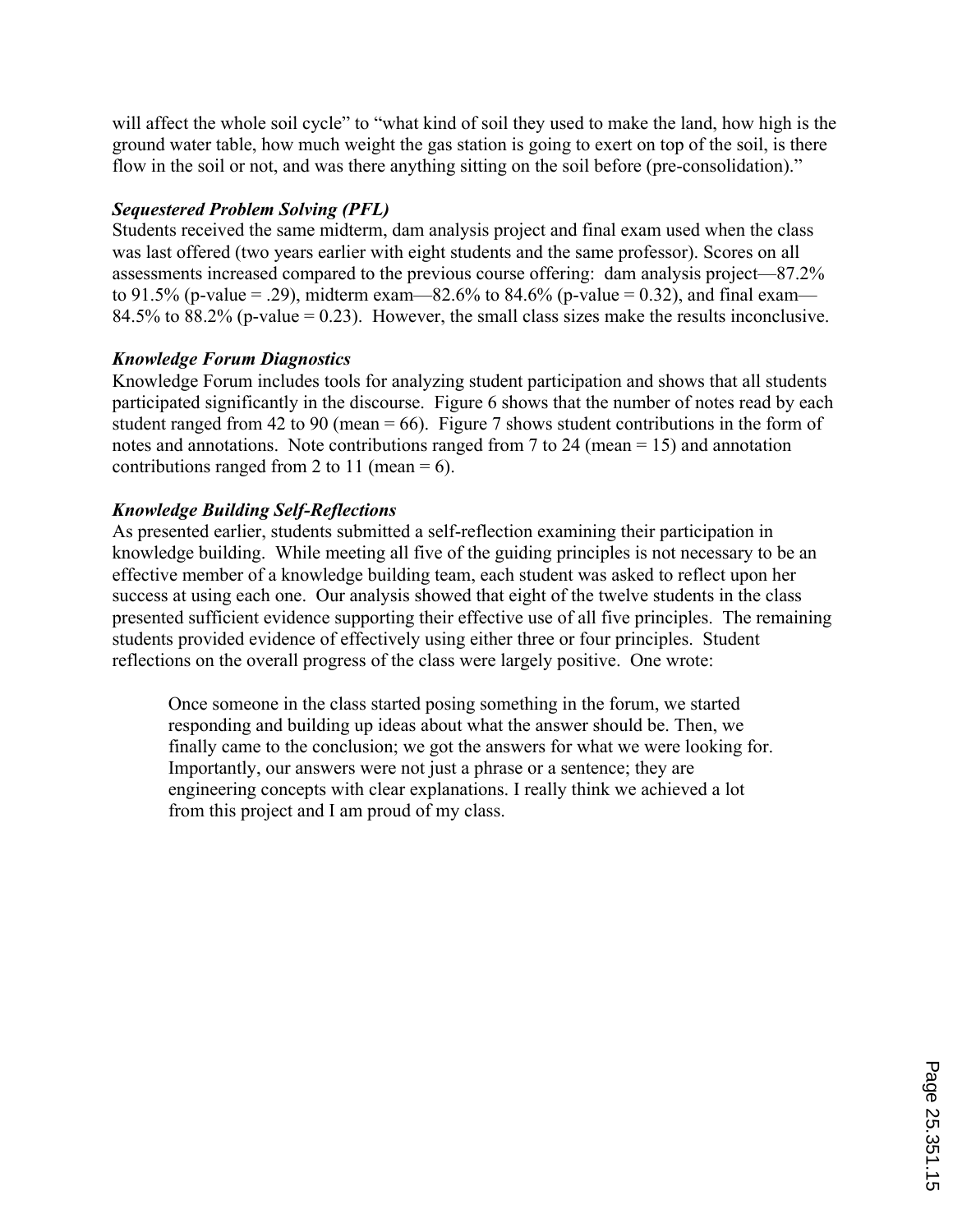will affect the whole soil cycle" to "what kind of soil they used to make the land, how high is the ground water table, how much weight the gas station is going to exert on top of the soil, is there flow in the soil or not, and was there anything sitting on the soil before (pre-consolidation)."

# *Sequestered Problem Solving (PFL)*

Students received the same midterm, dam analysis project and final exam used when the class was last offered (two years earlier with eight students and the same professor). Scores on all assessments increased compared to the previous course offering: dam analysis project—87.2% to 91.5% (p-value = .29), midterm exam—82.6% to 84.6% (p-value = 0.32), and final exam— 84.5% to 88.2% (p-value = 0.23). However, the small class sizes make the results inconclusive.

# *Knowledge Forum Diagnostics*

Knowledge Forum includes tools for analyzing student participation and shows that all students participated significantly in the discourse. Figure 6 shows that the number of notes read by each student ranged from 42 to 90 (mean  $= 66$ ). Figure 7 shows student contributions in the form of notes and annotations. Note contributions ranged from 7 to 24 (mean = 15) and annotation contributions ranged from 2 to 11 (mean  $= 6$ ).

# *Knowledge Building Self-Reflections*

As presented earlier, students submitted a self-reflection examining their participation in knowledge building. While meeting all five of the guiding principles is not necessary to be an effective member of a knowledge building team, each student was asked to reflect upon her success at using each one. Our analysis showed that eight of the twelve students in the class presented sufficient evidence supporting their effective use of all five principles. The remaining students provided evidence of effectively using either three or four principles. Student reflections on the overall progress of the class were largely positive. One wrote:

Once someone in the class started posing something in the forum, we started responding and building up ideas about what the answer should be. Then, we finally came to the conclusion; we got the answers for what we were looking for. Importantly, our answers were not just a phrase or a sentence; they are engineering concepts with clear explanations. I really think we achieved a lot from this project and I am proud of my class.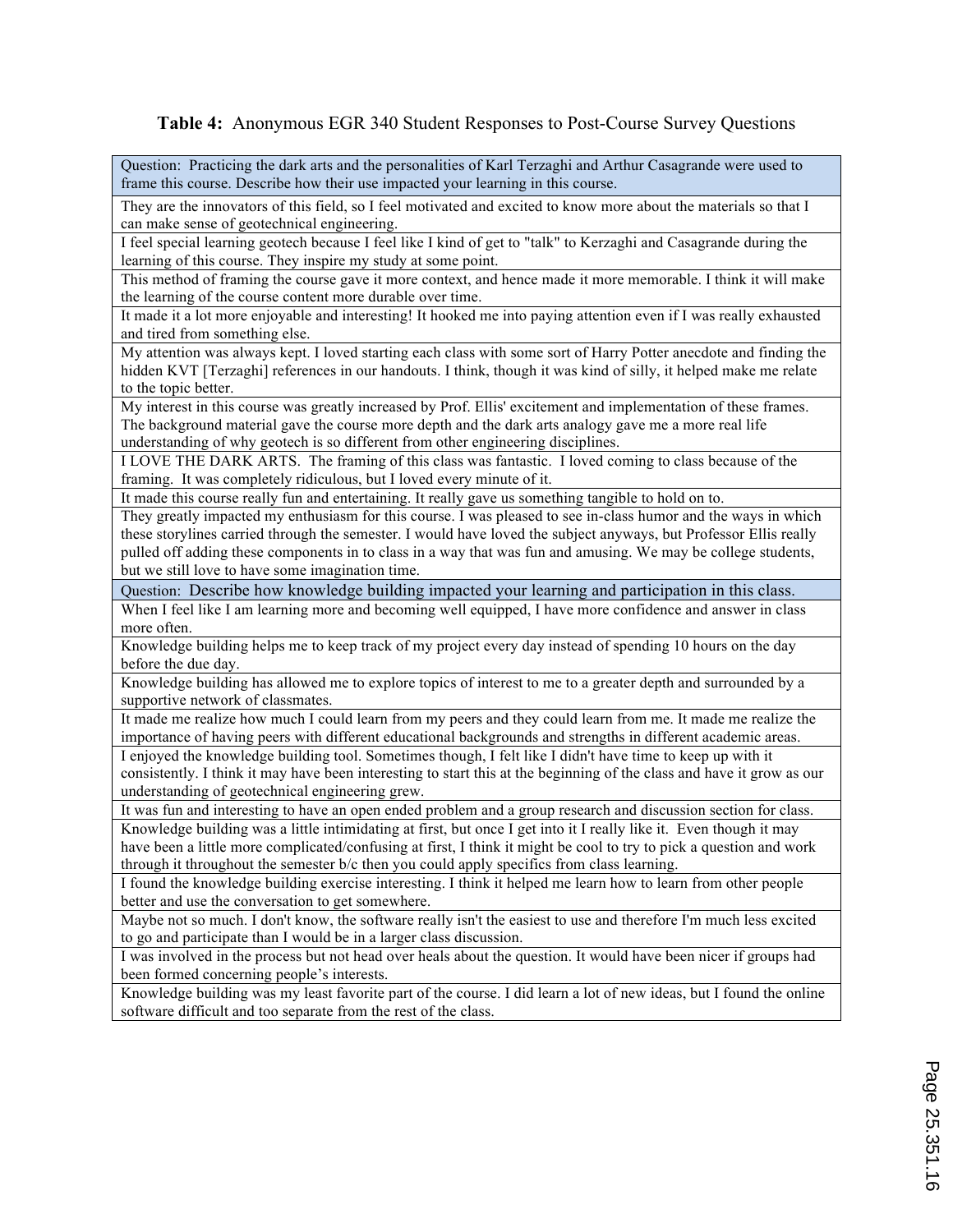#### **Table 4:** Anonymous EGR 340 Student Responses to Post-Course Survey Questions

Question: Practicing the dark arts and the personalities of Karl Terzaghi and Arthur Casagrande were used to frame this course. Describe how their use impacted your learning in this course.

They are the innovators of this field, so I feel motivated and excited to know more about the materials so that I can make sense of geotechnical engineering.

I feel special learning geotech because I feel like I kind of get to "talk" to Kerzaghi and Casagrande during the learning of this course. They inspire my study at some point.

This method of framing the course gave it more context, and hence made it more memorable. I think it will make the learning of the course content more durable over time.

It made it a lot more enjoyable and interesting! It hooked me into paying attention even if I was really exhausted and tired from something else.

My attention was always kept. I loved starting each class with some sort of Harry Potter anecdote and finding the hidden KVT [Terzaghi] references in our handouts. I think, though it was kind of silly, it helped make me relate to the topic better.

My interest in this course was greatly increased by Prof. Ellis' excitement and implementation of these frames. The background material gave the course more depth and the dark arts analogy gave me a more real life understanding of why geotech is so different from other engineering disciplines.

I LOVE THE DARK ARTS. The framing of this class was fantastic. I loved coming to class because of the framing. It was completely ridiculous, but I loved every minute of it.

It made this course really fun and entertaining. It really gave us something tangible to hold on to.

They greatly impacted my enthusiasm for this course. I was pleased to see in-class humor and the ways in which these storylines carried through the semester. I would have loved the subject anyways, but Professor Ellis really pulled off adding these components in to class in a way that was fun and amusing. We may be college students, but we still love to have some imagination time.

Question: Describe how knowledge building impacted your learning and participation in this class. When I feel like I am learning more and becoming well equipped, I have more confidence and answer in class more often.

Knowledge building helps me to keep track of my project every day instead of spending 10 hours on the day before the due day.

Knowledge building has allowed me to explore topics of interest to me to a greater depth and surrounded by a supportive network of classmates.

It made me realize how much I could learn from my peers and they could learn from me. It made me realize the importance of having peers with different educational backgrounds and strengths in different academic areas.

I enjoyed the knowledge building tool. Sometimes though, I felt like I didn't have time to keep up with it consistently. I think it may have been interesting to start this at the beginning of the class and have it grow as our understanding of geotechnical engineering grew.

It was fun and interesting to have an open ended problem and a group research and discussion section for class. Knowledge building was a little intimidating at first, but once I get into it I really like it. Even though it may have been a little more complicated/confusing at first, I think it might be cool to try to pick a question and work through it throughout the semester b/c then you could apply specifics from class learning.

I found the knowledge building exercise interesting. I think it helped me learn how to learn from other people better and use the conversation to get somewhere.

Maybe not so much. I don't know, the software really isn't the easiest to use and therefore I'm much less excited to go and participate than I would be in a larger class discussion.

I was involved in the process but not head over heals about the question. It would have been nicer if groups had been formed concerning people's interests.

Knowledge building was my least favorite part of the course. I did learn a lot of new ideas, but I found the online software difficult and too separate from the rest of the class.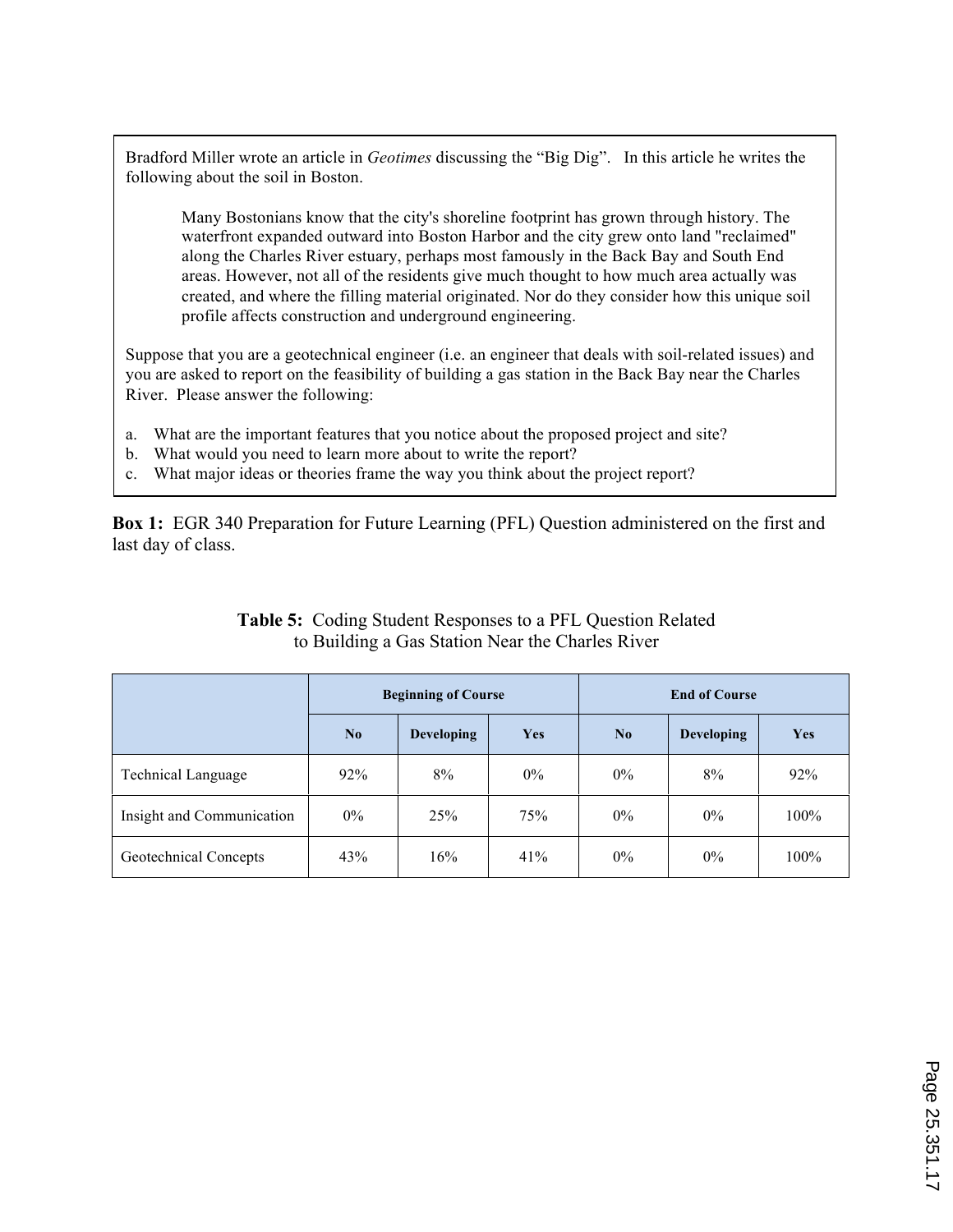Bradford Miller wrote an article in *Geotimes* discussing the "Big Dig". In this article he writes the following about the soil in Boston.

Many Bostonians know that the city's shoreline footprint has grown through history. The waterfront expanded outward into Boston Harbor and the city grew onto land "reclaimed" along the Charles River estuary, perhaps most famously in the Back Bay and South End areas. However, not all of the residents give much thought to how much area actually was created, and where the filling material originated. Nor do they consider how this unique soil profile affects construction and underground engineering.

Suppose that you are a geotechnical engineer (i.e. an engineer that deals with soil-related issues) and you are asked to report on the feasibility of building a gas station in the Back Bay near the Charles River. Please answer the following:

- a. What are the important features that you notice about the proposed project and site?
- b. What would you need to learn more about to write the report?
- c. What major ideas or theories frame the way you think about the project report?

**Box 1:** EGR 340 Preparation for Future Learning (PFL) Question administered on the first and last day of class.

|                           | <b>Beginning of Course</b> |                   |       | <b>End of Course</b> |                   |      |  |
|---------------------------|----------------------------|-------------------|-------|----------------------|-------------------|------|--|
|                           | No                         | <b>Developing</b> | Yes   | No                   | <b>Developing</b> | Yes  |  |
| <b>Technical Language</b> | 92%                        | 8%                | $0\%$ | $0\%$                | 8%                | 92%  |  |
| Insight and Communication | $0\%$                      | 25%               | 75%   | $0\%$                | $0\%$             | 100% |  |
| Geotechnical Concepts     | 43%                        | 16%               | 41%   | $0\%$                | $0\%$             | 100% |  |

# **Table 5:** Coding Student Responses to a PFL Question Related to Building a Gas Station Near the Charles River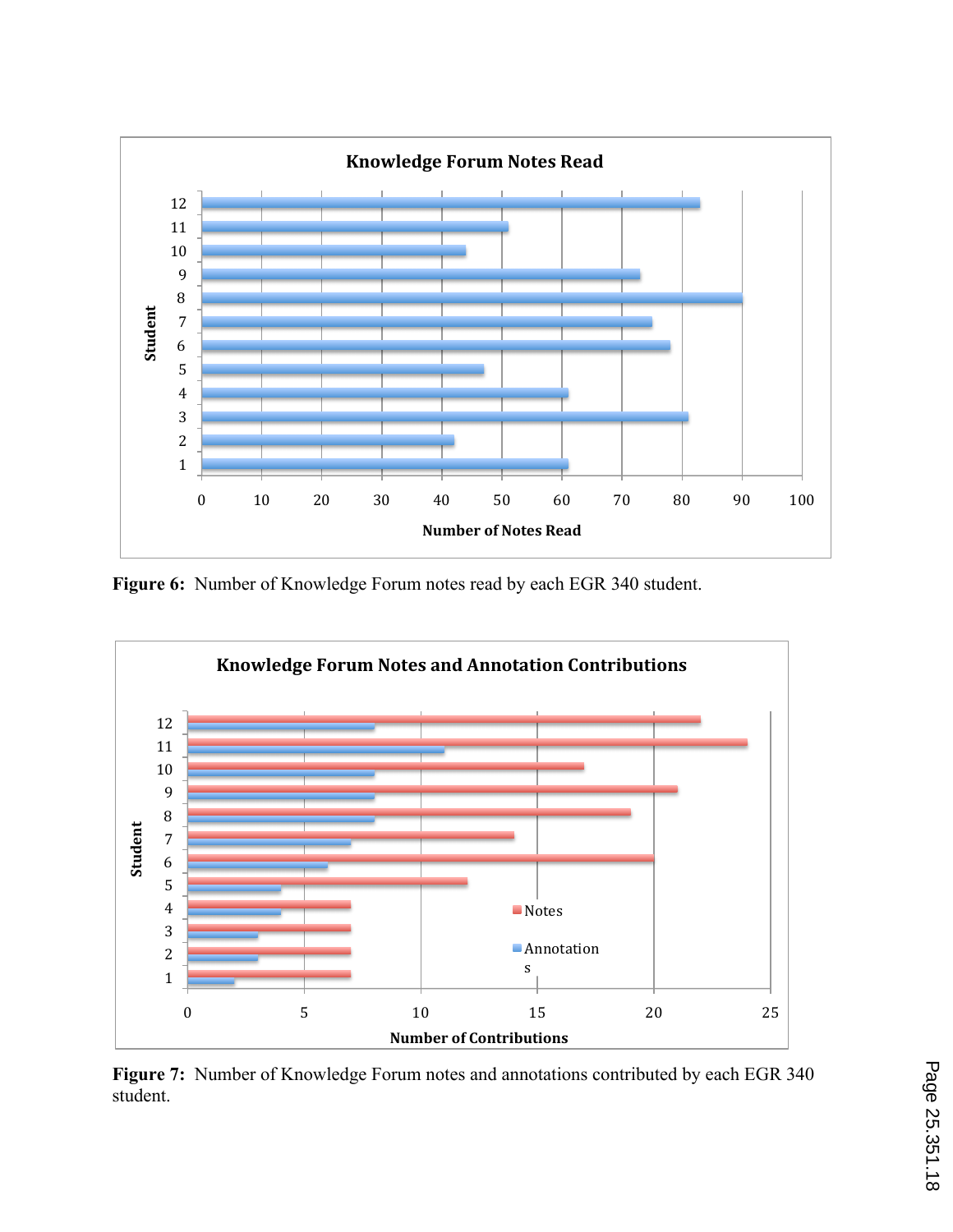

**Figure 6:** Number of Knowledge Forum notes read by each EGR 340 student.



**Figure 7:** Number of Knowledge Forum notes and annotations contributed by each EGR 340 student.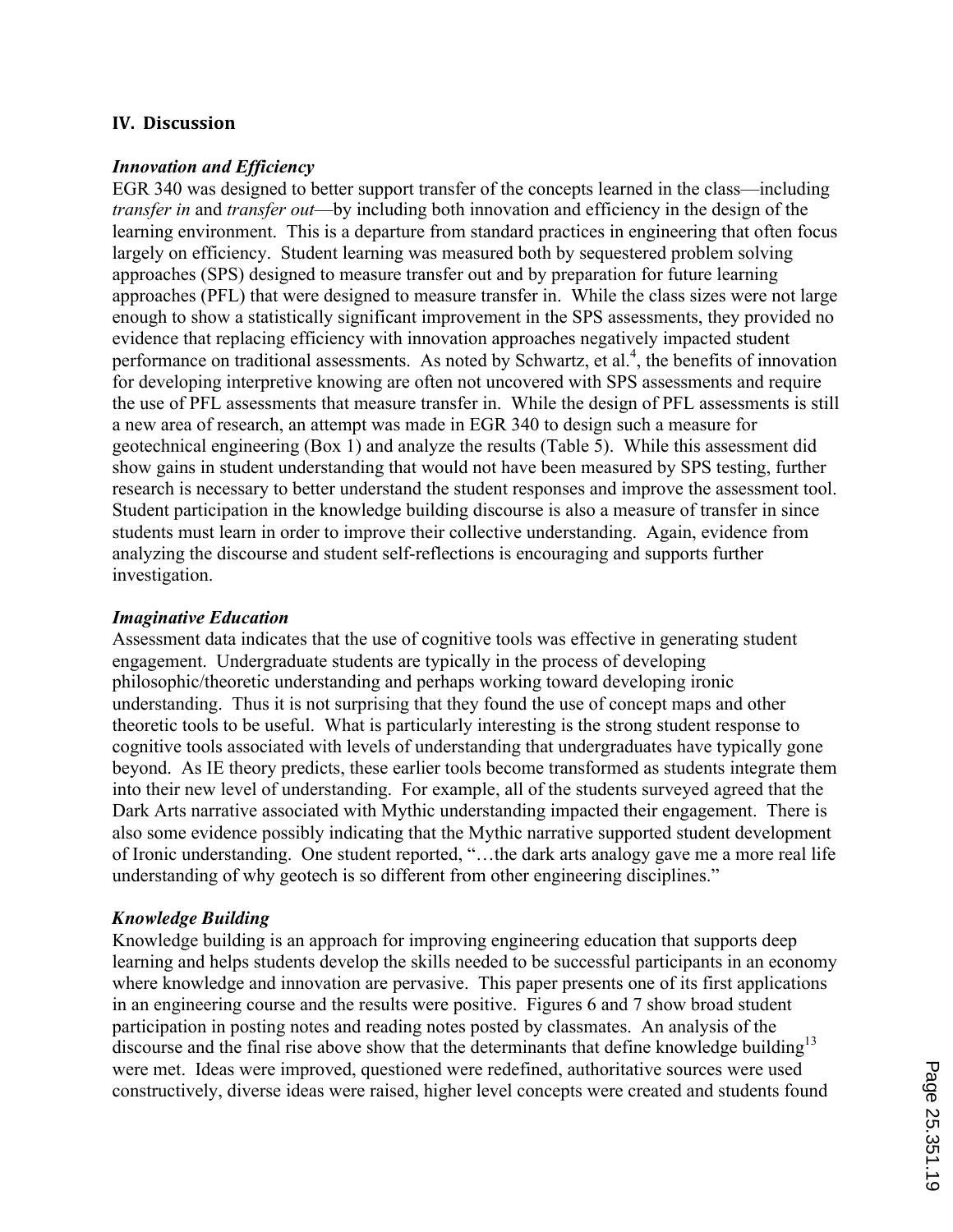## **IV.** Discussion

#### *Innovation and Efficiency*

EGR 340 was designed to better support transfer of the concepts learned in the class—including *transfer in* and *transfer out*—by including both innovation and efficiency in the design of the learning environment. This is a departure from standard practices in engineering that often focus largely on efficiency. Student learning was measured both by sequestered problem solving approaches (SPS) designed to measure transfer out and by preparation for future learning approaches (PFL) that were designed to measure transfer in. While the class sizes were not large enough to show a statistically significant improvement in the SPS assessments, they provided no evidence that replacing efficiency with innovation approaches negatively impacted student performance on traditional assessments. As noted by Schwartz, et al.<sup>4</sup>, the benefits of innovation for developing interpretive knowing are often not uncovered with SPS assessments and require the use of PFL assessments that measure transfer in. While the design of PFL assessments is still a new area of research, an attempt was made in EGR 340 to design such a measure for geotechnical engineering (Box 1) and analyze the results (Table 5). While this assessment did show gains in student understanding that would not have been measured by SPS testing, further research is necessary to better understand the student responses and improve the assessment tool. Student participation in the knowledge building discourse is also a measure of transfer in since students must learn in order to improve their collective understanding. Again, evidence from analyzing the discourse and student self-reflections is encouraging and supports further investigation.

#### *Imaginative Education*

Assessment data indicates that the use of cognitive tools was effective in generating student engagement. Undergraduate students are typically in the process of developing philosophic/theoretic understanding and perhaps working toward developing ironic understanding. Thus it is not surprising that they found the use of concept maps and other theoretic tools to be useful. What is particularly interesting is the strong student response to cognitive tools associated with levels of understanding that undergraduates have typically gone beyond. As IE theory predicts, these earlier tools become transformed as students integrate them into their new level of understanding. For example, all of the students surveyed agreed that the Dark Arts narrative associated with Mythic understanding impacted their engagement. There is also some evidence possibly indicating that the Mythic narrative supported student development of Ironic understanding. One student reported, "…the dark arts analogy gave me a more real life understanding of why geotech is so different from other engineering disciplines."

#### *Knowledge Building*

Knowledge building is an approach for improving engineering education that supports deep learning and helps students develop the skills needed to be successful participants in an economy where knowledge and innovation are pervasive. This paper presents one of its first applications in an engineering course and the results were positive. Figures 6 and 7 show broad student participation in posting notes and reading notes posted by classmates. An analysis of the discourse and the final rise above show that the determinants that define knowledge building<sup>13</sup> were met. Ideas were improved, questioned were redefined, authoritative sources were used constructively, diverse ideas were raised, higher level concepts were created and students found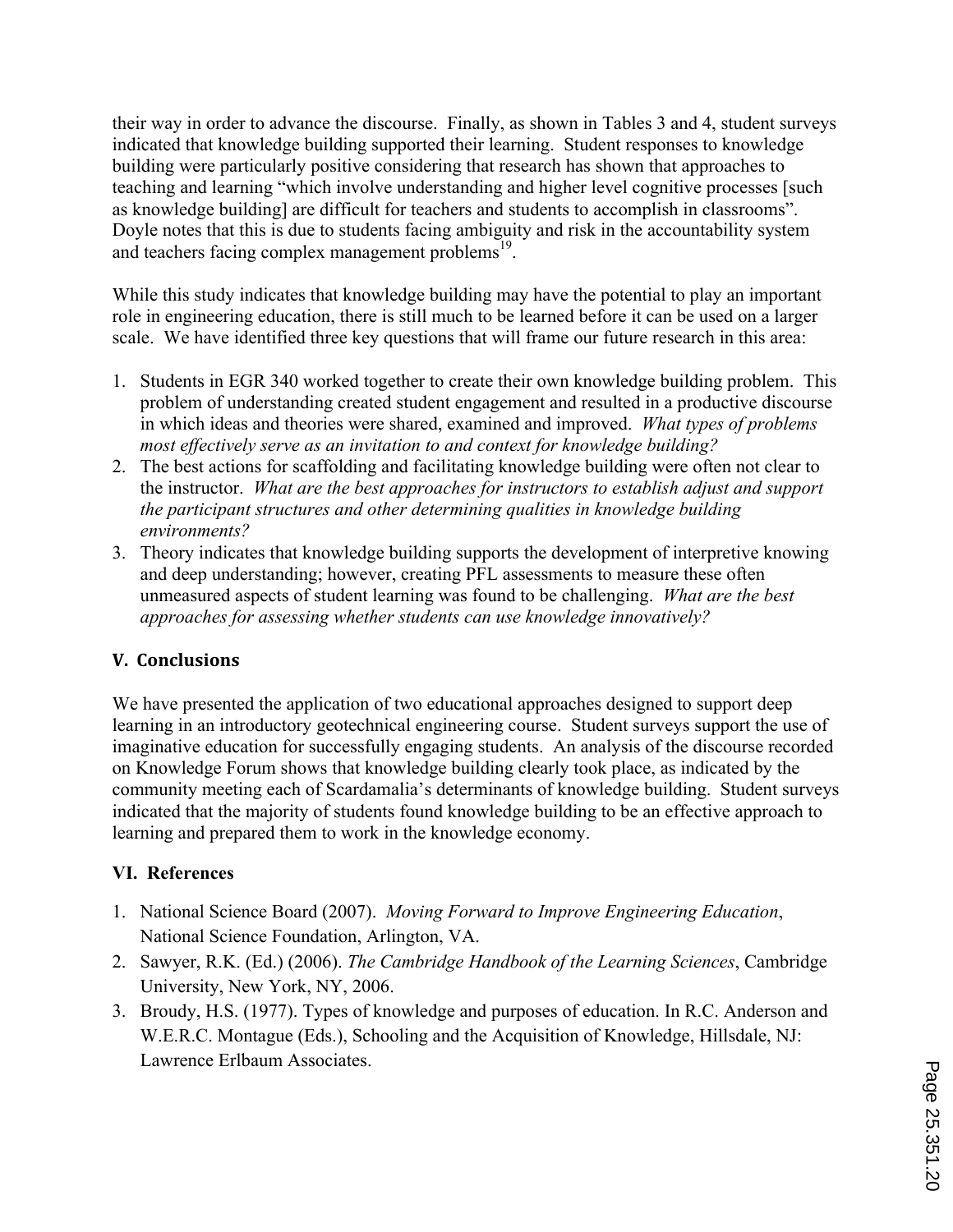their way in order to advance the discourse. Finally, as shown in Tables 3 and 4, student surveys indicated that knowledge building supported their learning. Student responses to knowledge building were particularly positive considering that research has shown that approaches to teaching and learning "which involve understanding and higher level cognitive processes [such as knowledge building] are difficult for teachers and students to accomplish in classrooms". Doyle notes that this is due to students facing ambiguity and risk in the accountability system and teachers facing complex management problems<sup>19</sup>.

While this study indicates that knowledge building may have the potential to play an important role in engineering education, there is still much to be learned before it can be used on a larger scale. We have identified three key questions that will frame our future research in this area:

- 1. Students in EGR 340 worked together to create their own knowledge building problem. This problem of understanding created student engagement and resulted in a productive discourse in which ideas and theories were shared, examined and improved. *What types of problems most effectively serve as an invitation to and context for knowledge building?*
- 2. The best actions for scaffolding and facilitating knowledge building were often not clear to the instructor. *What are the best approaches for instructors to establish adjust and support the participant structures and other determining qualities in knowledge building environments?*
- 3. Theory indicates that knowledge building supports the development of interpretive knowing and deep understanding; however, creating PFL assessments to measure these often unmeasured aspects of student learning was found to be challenging. *What are the best approaches for assessing whether students can use knowledge innovatively?*

# **V.))Conclusions**

We have presented the application of two educational approaches designed to support deep learning in an introductory geotechnical engineering course. Student surveys support the use of imaginative education for successfully engaging students. An analysis of the discourse recorded on Knowledge Forum shows that knowledge building clearly took place, as indicated by the community meeting each of Scardamalia's determinants of knowledge building. Student surveys indicated that the majority of students found knowledge building to be an effective approach to learning and prepared them to work in the knowledge economy.

# **VI. References**

- 1. National Science Board (2007). *Moving Forward to Improve Engineering Education*, National Science Foundation, Arlington, VA.
- 2. Sawyer, R.K. (Ed.) (2006). *The Cambridge Handbook of the Learning Sciences*, Cambridge University, New York, NY, 2006.
- 3. Broudy, H.S. (1977). Types of knowledge and purposes of education. In R.C. Anderson and W.E.R.C. Montague (Eds.), Schooling and the Acquisition of Knowledge, Hillsdale, NJ: Lawrence Erlbaum Associates.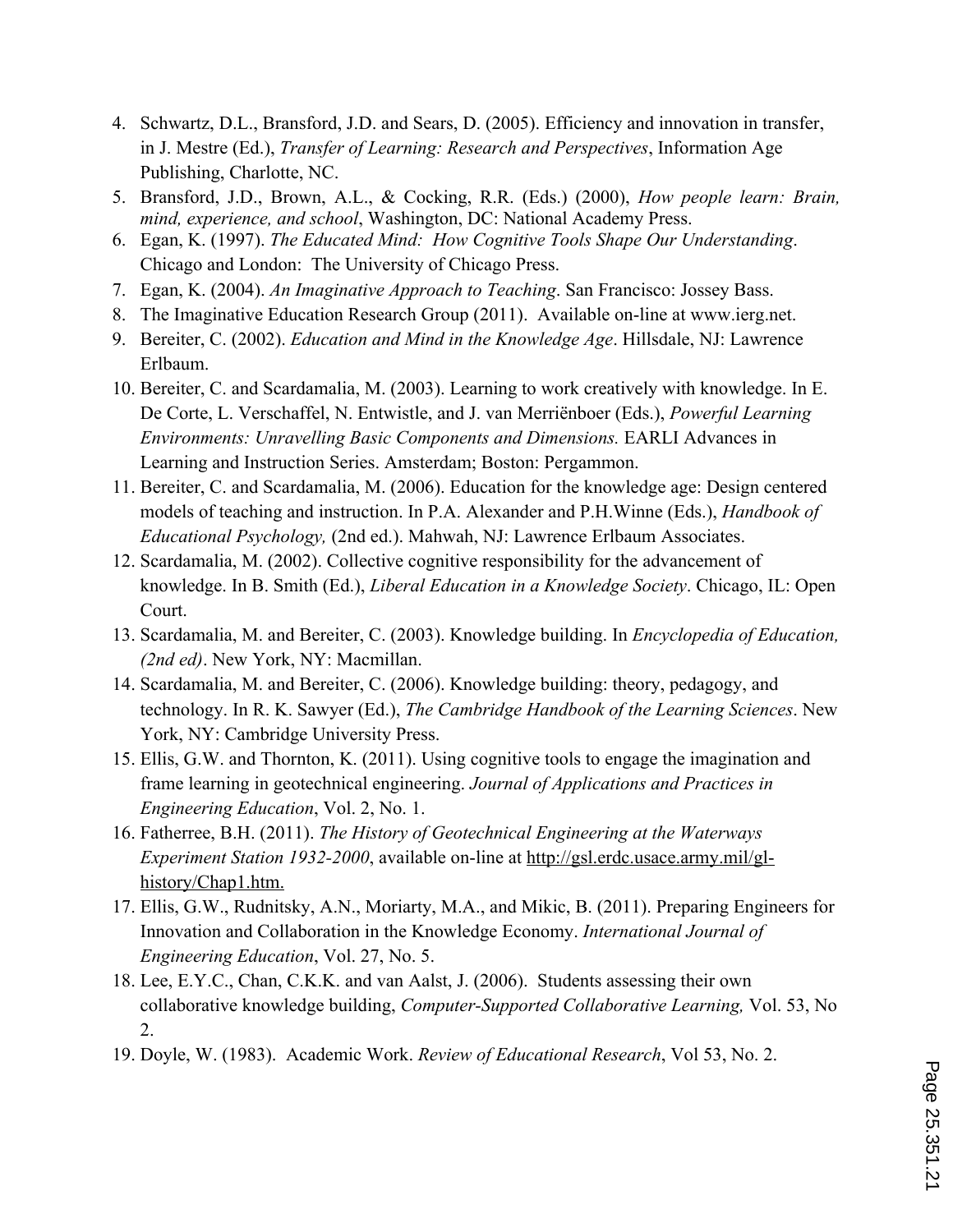- 4. Schwartz, D.L., Bransford, J.D. and Sears, D. (2005). Efficiency and innovation in transfer, in J. Mestre (Ed.), *Transfer of Learning: Research and Perspectives*, Information Age Publishing, Charlotte, NC.
- 5. Bransford, J.D., Brown, A.L., & Cocking, R.R. (Eds.) (2000), *How people learn: Brain, mind, experience, and school*, Washington, DC: National Academy Press.
- 6. Egan, K. (1997). *The Educated Mind: How Cognitive Tools Shape Our Understanding*. Chicago and London: The University of Chicago Press.
- 7. Egan, K. (2004). *An Imaginative Approach to Teaching*. San Francisco: Jossey Bass.
- 8. The Imaginative Education Research Group (2011). Available on-line at www.ierg.net.
- 9. Bereiter, C. (2002). *Education and Mind in the Knowledge Age*. Hillsdale, NJ: Lawrence Erlbaum.
- 10. Bereiter, C. and Scardamalia, M. (2003). Learning to work creatively with knowledge. In E. De Corte, L. Verschaffel, N. Entwistle, and J. van Merriënboer (Eds.), *Powerful Learning Environments: Unravelling Basic Components and Dimensions.* EARLI Advances in Learning and Instruction Series. Amsterdam; Boston: Pergammon.
- 11. Bereiter, C. and Scardamalia, M. (2006). Education for the knowledge age: Design centered models of teaching and instruction. In P.A. Alexander and P.H.Winne (Eds.), *Handbook of Educational Psychology,* (2nd ed.). Mahwah, NJ: Lawrence Erlbaum Associates.
- 12. Scardamalia, M. (2002). Collective cognitive responsibility for the advancement of knowledge. In B. Smith (Ed.), *Liberal Education in a Knowledge Society*. Chicago, IL: Open Court.
- 13. Scardamalia, M. and Bereiter, C. (2003). Knowledge building. In *Encyclopedia of Education, (2nd ed)*. New York, NY: Macmillan.
- 14. Scardamalia, M. and Bereiter, C. (2006). Knowledge building: theory, pedagogy, and technology. In R. K. Sawyer (Ed.), *The Cambridge Handbook of the Learning Sciences*. New York, NY: Cambridge University Press.
- 15. Ellis, G.W. and Thornton, K. (2011). Using cognitive tools to engage the imagination and frame learning in geotechnical engineering. *Journal of Applications and Practices in Engineering Education*, Vol. 2, No. 1.
- 16. Fatherree, B.H. (2011). *The History of Geotechnical Engineering at the Waterways Experiment Station 1932-2000*, available on-line at http://gsl.erdc.usace.army.mil/glhistory/Chap1.htm.
- 17. Ellis, G.W., Rudnitsky, A.N., Moriarty, M.A., and Mikic, B. (2011). Preparing Engineers for Innovation and Collaboration in the Knowledge Economy. *International Journal of Engineering Education*, Vol. 27, No. 5.
- 18. Lee, E.Y.C., Chan, C.K.K. and van Aalst, J. (2006). Students assessing their own collaborative knowledge building, *Computer-Supported Collaborative Learning,* Vol. 53, No 2.
- 19. Doyle, W. (1983). Academic Work. *Review of Educational Research*, Vol 53, No. 2.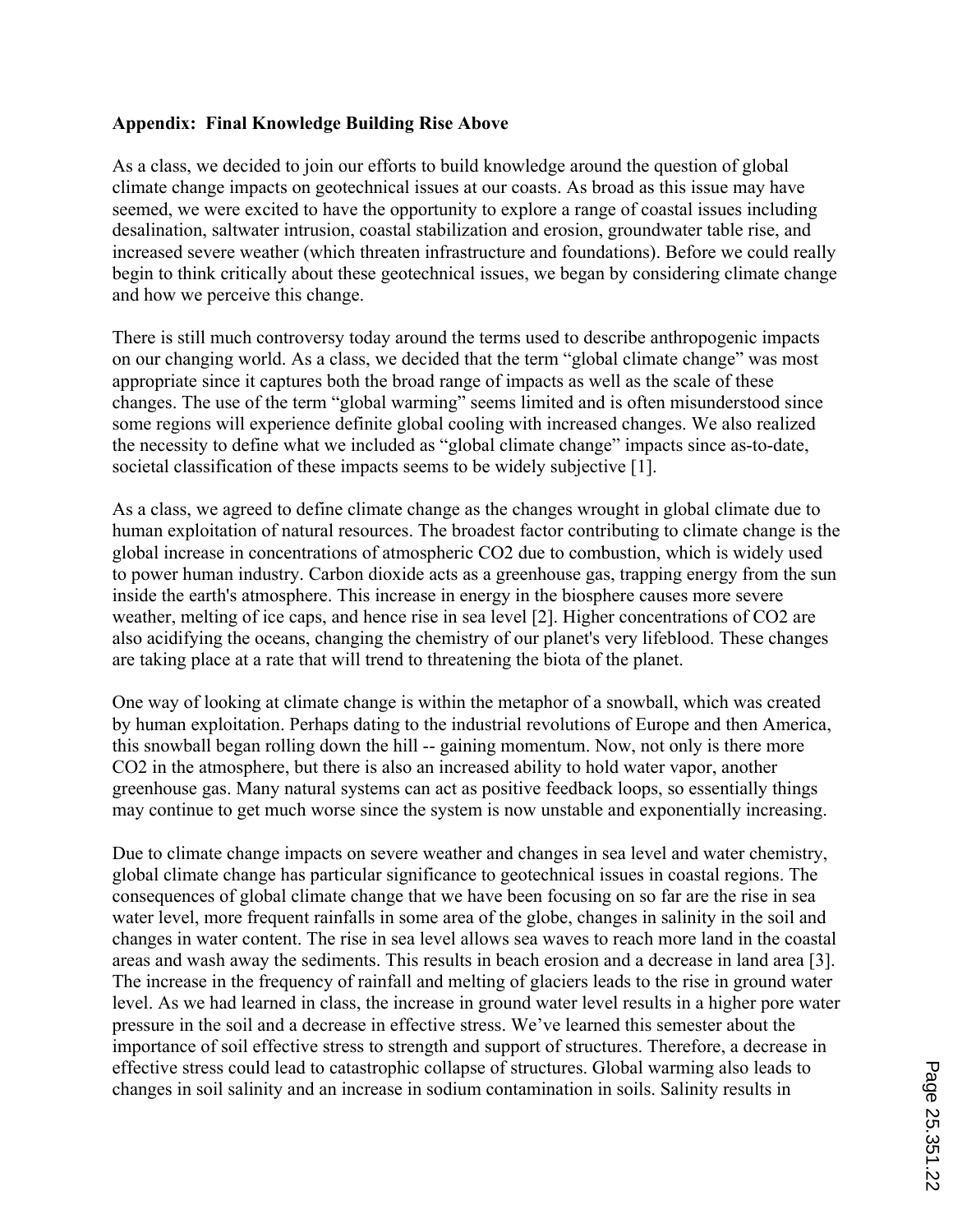## **Appendix: Final Knowledge Building Rise Above**

As a class, we decided to join our efforts to build knowledge around the question of global climate change impacts on geotechnical issues at our coasts. As broad as this issue may have seemed, we were excited to have the opportunity to explore a range of coastal issues including desalination, saltwater intrusion, coastal stabilization and erosion, groundwater table rise, and increased severe weather (which threaten infrastructure and foundations). Before we could really begin to think critically about these geotechnical issues, we began by considering climate change and how we perceive this change.

There is still much controversy today around the terms used to describe anthropogenic impacts on our changing world. As a class, we decided that the term "global climate change" was most appropriate since it captures both the broad range of impacts as well as the scale of these changes. The use of the term "global warming" seems limited and is often misunderstood since some regions will experience definite global cooling with increased changes. We also realized the necessity to define what we included as "global climate change" impacts since as-to-date, societal classification of these impacts seems to be widely subjective [1].

As a class, we agreed to define climate change as the changes wrought in global climate due to human exploitation of natural resources. The broadest factor contributing to climate change is the global increase in concentrations of atmospheric CO2 due to combustion, which is widely used to power human industry. Carbon dioxide acts as a greenhouse gas, trapping energy from the sun inside the earth's atmosphere. This increase in energy in the biosphere causes more severe weather, melting of ice caps, and hence rise in sea level [2]. Higher concentrations of CO2 are also acidifying the oceans, changing the chemistry of our planet's very lifeblood. These changes are taking place at a rate that will trend to threatening the biota of the planet.

One way of looking at climate change is within the metaphor of a snowball, which was created by human exploitation. Perhaps dating to the industrial revolutions of Europe and then America, this snowball began rolling down the hill -- gaining momentum. Now, not only is there more CO2 in the atmosphere, but there is also an increased ability to hold water vapor, another greenhouse gas. Many natural systems can act as positive feedback loops, so essentially things may continue to get much worse since the system is now unstable and exponentially increasing.

Due to climate change impacts on severe weather and changes in sea level and water chemistry, global climate change has particular significance to geotechnical issues in coastal regions. The consequences of global climate change that we have been focusing on so far are the rise in sea water level, more frequent rainfalls in some area of the globe, changes in salinity in the soil and changes in water content. The rise in sea level allows sea waves to reach more land in the coastal areas and wash away the sediments. This results in beach erosion and a decrease in land area [3]. The increase in the frequency of rainfall and melting of glaciers leads to the rise in ground water level. As we had learned in class, the increase in ground water level results in a higher pore water pressure in the soil and a decrease in effective stress. We've learned this semester about the importance of soil effective stress to strength and support of structures. Therefore, a decrease in effective stress could lead to catastrophic collapse of structures. Global warming also leads to changes in soil salinity and an increase in sodium contamination in soils. Salinity results in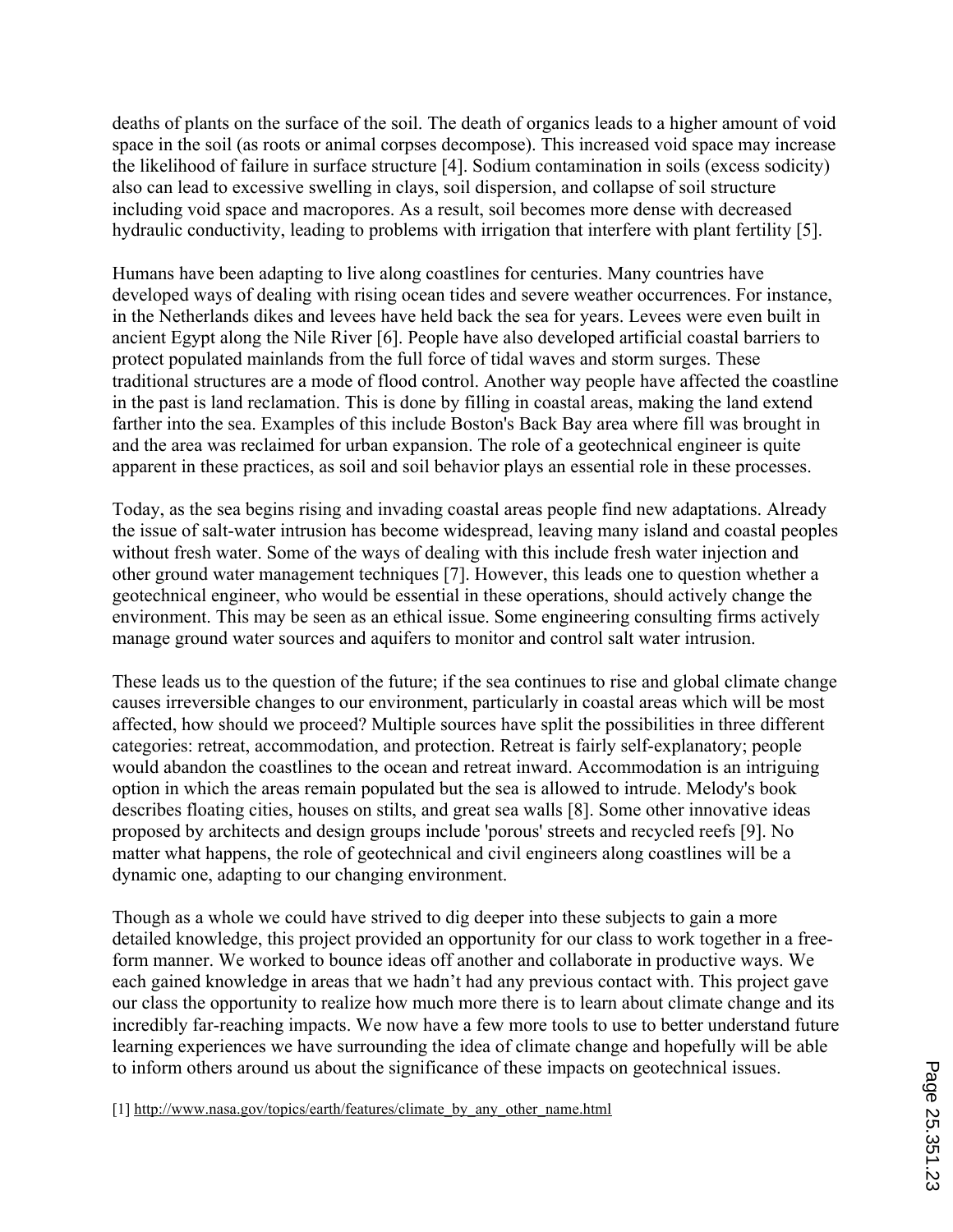deaths of plants on the surface of the soil. The death of organics leads to a higher amount of void space in the soil (as roots or animal corpses decompose). This increased void space may increase the likelihood of failure in surface structure [4]. Sodium contamination in soils (excess sodicity) also can lead to excessive swelling in clays, soil dispersion, and collapse of soil structure including void space and macropores. As a result, soil becomes more dense with decreased hydraulic conductivity, leading to problems with irrigation that interfere with plant fertility [5].

Humans have been adapting to live along coastlines for centuries. Many countries have developed ways of dealing with rising ocean tides and severe weather occurrences. For instance, in the Netherlands dikes and levees have held back the sea for years. Levees were even built in ancient Egypt along the Nile River [6]. People have also developed artificial coastal barriers to protect populated mainlands from the full force of tidal waves and storm surges. These traditional structures are a mode of flood control. Another way people have affected the coastline in the past is land reclamation. This is done by filling in coastal areas, making the land extend farther into the sea. Examples of this include Boston's Back Bay area where fill was brought in and the area was reclaimed for urban expansion. The role of a geotechnical engineer is quite apparent in these practices, as soil and soil behavior plays an essential role in these processes.

Today, as the sea begins rising and invading coastal areas people find new adaptations. Already the issue of salt-water intrusion has become widespread, leaving many island and coastal peoples without fresh water. Some of the ways of dealing with this include fresh water injection and other ground water management techniques [7]. However, this leads one to question whether a geotechnical engineer, who would be essential in these operations, should actively change the environment. This may be seen as an ethical issue. Some engineering consulting firms actively manage ground water sources and aquifers to monitor and control salt water intrusion.

These leads us to the question of the future; if the sea continues to rise and global climate change causes irreversible changes to our environment, particularly in coastal areas which will be most affected, how should we proceed? Multiple sources have split the possibilities in three different categories: retreat, accommodation, and protection. Retreat is fairly self-explanatory; people would abandon the coastlines to the ocean and retreat inward. Accommodation is an intriguing option in which the areas remain populated but the sea is allowed to intrude. Melody's book describes floating cities, houses on stilts, and great sea walls [8]. Some other innovative ideas proposed by architects and design groups include 'porous' streets and recycled reefs [9]. No matter what happens, the role of geotechnical and civil engineers along coastlines will be a dynamic one, adapting to our changing environment.

Though as a whole we could have strived to dig deeper into these subjects to gain a more detailed knowledge, this project provided an opportunity for our class to work together in a freeform manner. We worked to bounce ideas off another and collaborate in productive ways. We each gained knowledge in areas that we hadn't had any previous contact with. This project gave our class the opportunity to realize how much more there is to learn about climate change and its incredibly far-reaching impacts. We now have a few more tools to use to better understand future learning experiences we have surrounding the idea of climate change and hopefully will be able to inform others around us about the significance of these impacts on geotechnical issues.

[1] http://www.nasa.gov/topics/earth/features/climate\_by\_any\_other\_name.html